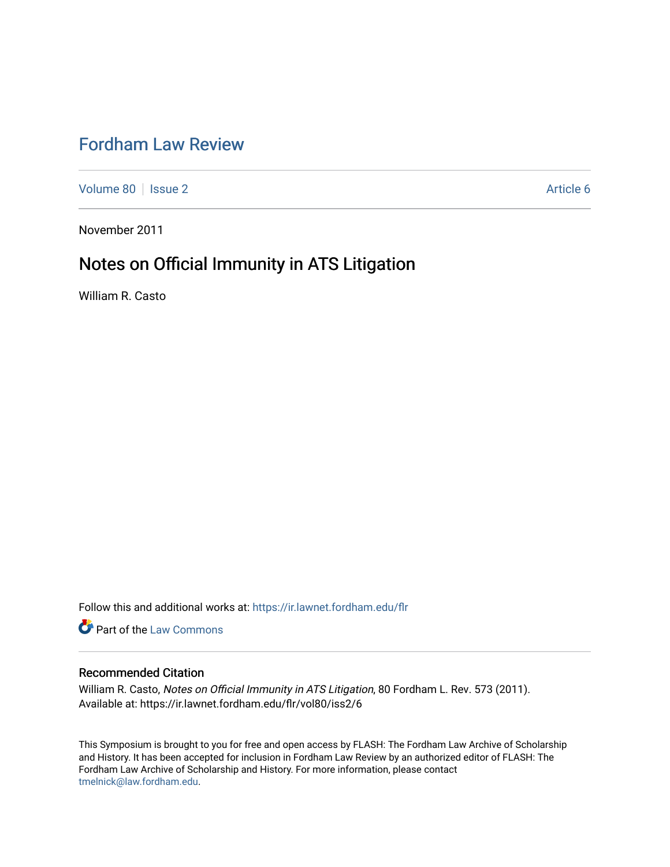# [Fordham Law Review](https://ir.lawnet.fordham.edu/flr)

[Volume 80](https://ir.lawnet.fordham.edu/flr/vol80) | [Issue 2](https://ir.lawnet.fordham.edu/flr/vol80/iss2) Article 6

November 2011

# Notes on Official Immunity in ATS Litigation

William R. Casto

Follow this and additional works at: [https://ir.lawnet.fordham.edu/flr](https://ir.lawnet.fordham.edu/flr?utm_source=ir.lawnet.fordham.edu%2Fflr%2Fvol80%2Fiss2%2F6&utm_medium=PDF&utm_campaign=PDFCoverPages)

**Part of the [Law Commons](http://network.bepress.com/hgg/discipline/578?utm_source=ir.lawnet.fordham.edu%2Fflr%2Fvol80%2Fiss2%2F6&utm_medium=PDF&utm_campaign=PDFCoverPages)** 

# Recommended Citation

William R. Casto, Notes on Official Immunity in ATS Litigation, 80 Fordham L. Rev. 573 (2011). Available at: https://ir.lawnet.fordham.edu/flr/vol80/iss2/6

This Symposium is brought to you for free and open access by FLASH: The Fordham Law Archive of Scholarship and History. It has been accepted for inclusion in Fordham Law Review by an authorized editor of FLASH: The Fordham Law Archive of Scholarship and History. For more information, please contact [tmelnick@law.fordham.edu](mailto:tmelnick@law.fordham.edu).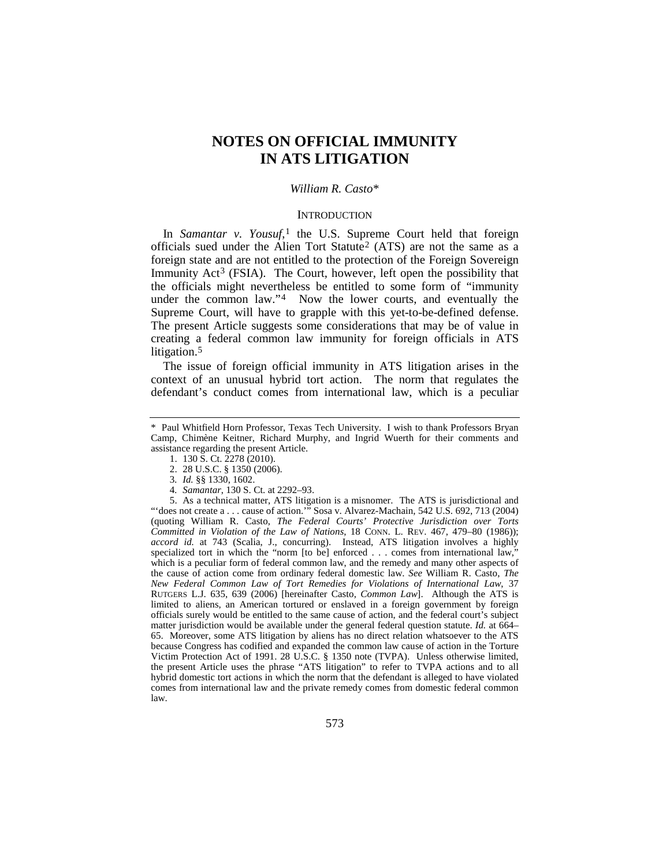# **NOTES ON OFFICIAL IMMUNITY IN ATS LITIGATION**

#### *William R. Casto*[\\*](#page-1-0)

#### <span id="page-1-7"></span>**INTRODUCTION**

In *Samantar v. Yousuf*,<sup>[1](#page-1-1)</sup> the U.S. Supreme Court held that foreign officials sued under the Alien Tort Statute<sup>[2](#page-1-2)</sup> (ATS) are not the same as a foreign state and are not entitled to the protection of the Foreign Sovereign Immunity  $Act^3$  $Act^3$  (FSIA). The Court, however, left open the possibility that the officials might nevertheless be entitled to some form of "immunity under the common law."<sup>[4](#page-1-4)</sup> Now the lower courts, and eventually the Supreme Court, will have to grapple with this yet-to-be-defined defense. The present Article suggests some considerations that may be of value in creating a federal common law immunity for foreign officials in ATS litigation.<sup>[5](#page-1-5)</sup>

<span id="page-1-6"></span>The issue of foreign official immunity in ATS litigation arises in the context of an unusual hybrid tort action. The norm that regulates the defendant's conduct comes from international law, which is a peculiar

1. 130 S. Ct. 2278 (2010).

3*. Id.* §§ 1330, 1602.

4*. Samantar*, 130 S. Ct. at 2292–93.

<span id="page-1-5"></span><span id="page-1-4"></span><span id="page-1-3"></span><span id="page-1-2"></span>5. As a technical matter, ATS litigation is a misnomer. The ATS is jurisdictional and "'does not create a . . . cause of action." Sosa v. Alvarez-Machain, 542 U.S. 692, 713 (2004) (quoting William R. Casto, *The Federal Courts' Protective Jurisdiction over Torts Committed in Violation of the Law of Nations*, 18 CONN. L. REV. 467, 479–80 (1986)); *accord id.* at 743 (Scalia, J., concurring). Instead, ATS litigation involves a highly specialized tort in which the "norm [to be] enforced . . . comes from international law," which is a peculiar form of federal common law, and the remedy and many other aspects of the cause of action come from ordinary federal domestic law. *See* William R. Casto, *The New Federal Common Law of Tort Remedies for Violations of International Law*, 37 RUTGERS L.J. 635, 639 (2006) [hereinafter Casto, *Common Law*]. Although the ATS is limited to aliens, an American tortured or enslaved in a foreign government by foreign officials surely would be entitled to the same cause of action, and the federal court's subject matter jurisdiction would be available under the general federal question statute. *Id.* at 664– 65. Moreover, some ATS litigation by aliens has no direct relation whatsoever to the ATS because Congress has codified and expanded the common law cause of action in the Torture Victim Protection Act of 1991. 28 U.S.C. § 1350 note (TVPA). Unless otherwise limited, the present Article uses the phrase "ATS litigation" to refer to TVPA actions and to all hybrid domestic tort actions in which the norm that the defendant is alleged to have violated comes from international law and the private remedy comes from domestic federal common law.

<span id="page-1-1"></span><span id="page-1-0"></span><sup>\*</sup> Paul Whitfield Horn Professor, Texas Tech University. I wish to thank Professors Bryan Camp, Chimène Keitner, Richard Murphy, and Ingrid Wuerth for their comments and assistance regarding the present Article.

<sup>2.</sup> 28 U.S.C. § 1350 (2006).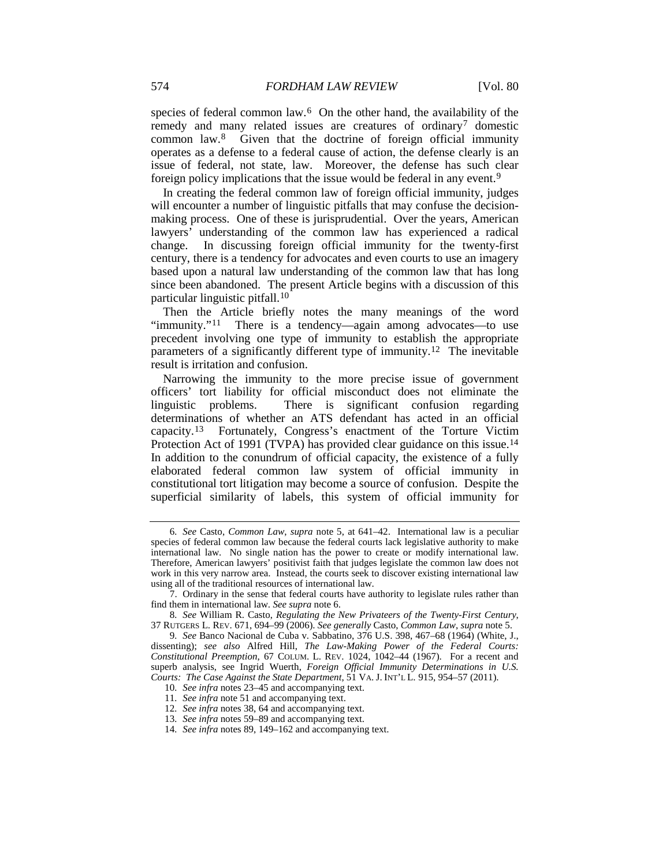<span id="page-2-0"></span>species of federal common law.<sup>6</sup> On the other hand, the availability of the remedy and many related issues are creatures of ordinary<sup>7</sup> domestic common law.[8](#page-2-3) Given that the doctrine of foreign official immunity operates as a defense to a federal cause of action, the defense clearly is an issue of federal, not state, law. Moreover, the defense has such clear foreign policy implications that the issue would be federal in any event.[9](#page-2-4)

<span id="page-2-10"></span>In creating the federal common law of foreign official immunity, judges will encounter a number of linguistic pitfalls that may confuse the decisionmaking process. One of these is jurisprudential. Over the years, American lawyers' understanding of the common law has experienced a radical change. In discussing foreign official immunity for the twenty-first century, there is a tendency for advocates and even courts to use an imagery based upon a natural law understanding of the common law that has long since been abandoned. The present Article begins with a discussion of this particular linguistic pitfall.[10](#page-2-5)

Then the Article briefly notes the many meanings of the word "immunity."[11](#page-2-6) There is a tendency—again among advocates—to use precedent involving one type of immunity to establish the appropriate parameters of a significantly different type of immunity.<sup>[12](#page-2-7)</sup> The inevitable result is irritation and confusion.

Narrowing the immunity to the more precise issue of government officers' tort liability for official misconduct does not eliminate the linguistic problems. There is significant confusion regarding determinations of whether an ATS defendant has acted in an official capacity. [13](#page-2-8) Fortunately, Congress's enactment of the Torture Victim Protection Act of 1991 (TVPA) has provided clear guidance on this issue.<sup>[14](#page-2-9)</sup> In addition to the conundrum of official capacity, the existence of a fully elaborated federal common law system of official immunity in constitutional tort litigation may become a source of confusion. Despite the superficial similarity of labels, this system of official immunity for

<span id="page-2-1"></span><sup>6</sup>*. See* Casto, *Common Law*, *supra* note [5,](#page-1-6) at 641–42. International law is a peculiar species of federal common law because the federal courts lack legislative authority to make international law. No single nation has the power to create or modify international law. Therefore, American lawyers' positivist faith that judges legislate the common law does not work in this very narrow area. Instead, the courts seek to discover existing international law using all of the traditional resources of international law.

<span id="page-2-2"></span><sup>7.</sup> Ordinary in the sense that federal courts have authority to legislate rules rather than find them in international law. *See supra* not[e 6.](#page-2-0)

<span id="page-2-3"></span><sup>8</sup>*. See* William R. Casto, *Regulating the New Privateers of the Twenty-First Century*, 37 RUTGERS L. REV. 671, 694–99 (2006). *See generally* Casto, *Common Law*, *supra* not[e 5.](#page-1-6)

<span id="page-2-6"></span><span id="page-2-5"></span><span id="page-2-4"></span><sup>9</sup>*. See* Banco Nacional de Cuba v. Sabbatino, 376 U.S. 398, 467–68 (1964) (White, J., dissenting); *see also* Alfred Hill, *The Law-Making Power of the Federal Courts: Constitutional Preemption*, 67 COLUM. L. REV. 1024, 1042–44 (1967). For a recent and superb analysis, see Ingrid Wuerth, *Foreign Official Immunity Determinations in U.S. Courts: The Case Against the State Department*, 51 VA. J. INT'L L. 915, 954–57 (2011).

<sup>10</sup>*. See infra* note[s 23](#page-3-0)[–45](#page-7-0) and accompanying text.

<sup>11</sup>*. See infra* not[e 51](#page-8-0) and accompanying text.

<span id="page-2-8"></span><span id="page-2-7"></span><sup>12</sup>*. See infra* note[s 38,](#page-5-0) [64](#page-9-0) and accompanying text.

<sup>13</sup>*. See infra* note[s 59](#page-9-1)[–89](#page-14-0) and accompanying text.

<span id="page-2-9"></span><sup>14</sup>*. See infra* note[s 89,](#page-14-0) [149](#page-24-0)[–162](#page-26-0) and accompanying text.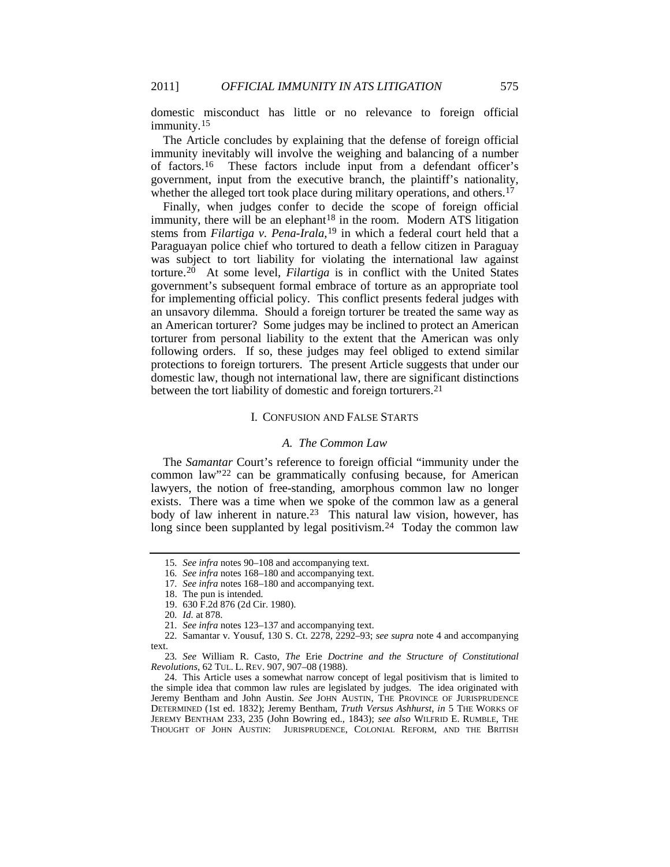domestic misconduct has little or no relevance to foreign official immunity.<sup>[15](#page-3-1)</sup>

The Article concludes by explaining that the defense of foreign official immunity inevitably will involve the weighing and balancing of a number of factors.[16](#page-3-2) These factors include input from a defendant officer's government, input from the executive branch, the plaintiff's nationality, whether the alleged tort took place during military operations, and others.<sup>[17](#page-3-3)</sup>

<span id="page-3-12"></span><span id="page-3-11"></span>Finally, when judges confer to decide the scope of foreign official immunity, there will be an elephant<sup>[18](#page-3-4)</sup> in the room. Modern ATS litigation stems from *Filartiga v. Pena-Irala*,[19](#page-3-5) in which a federal court held that a Paraguayan police chief who tortured to death a fellow citizen in Paraguay was subject to tort liability for violating the international law against torture.[20](#page-3-6) At some level, *Filartiga* is in conflict with the United States government's subsequent formal embrace of torture as an appropriate tool for implementing official policy. This conflict presents federal judges with an unsavory dilemma. Should a foreign torturer be treated the same way as an American torturer? Some judges may be inclined to protect an American torturer from personal liability to the extent that the American was only following orders. If so, these judges may feel obliged to extend similar protections to foreign torturers. The present Article suggests that under our domestic law, though not international law, there are significant distinctions between the tort liability of domestic and foreign torturers.[21](#page-3-7)

### I. CONFUSION AND FALSE STARTS

# <span id="page-3-0"></span>*A. The Common Law*

The *Samantar* Court's reference to foreign official "immunity under the common law"[22](#page-3-8) can be grammatically confusing because, for American lawyers, the notion of free-standing, amorphous common law no longer exists. There was a time when we spoke of the common law as a general body of law inherent in nature.<sup>[23](#page-3-9)</sup> This natural law vision, however, has long since been supplanted by legal positivism.<sup>[24](#page-3-10)</sup> Today the common law

<span id="page-3-1"></span><sup>15</sup>*. See infra* notes [90](#page-14-1)[–108](#page-16-0) and accompanying text.

<sup>16</sup>*. See infra* note[s 168](#page-28-0)[–180](#page-31-0) and accompanying text.

<sup>17</sup>*. See infra* note[s 168](#page-28-0)[–180](#page-31-0) and accompanying text.

<sup>18.</sup> The pun is intended.

<sup>19.</sup> 630 F.2d 876 (2d Cir. 1980).

<sup>20</sup>*. Id.* at 878.

<sup>21</sup>*. See infra* note[s 123](#page-20-0)[–137](#page-22-0) and accompanying text.

<span id="page-3-8"></span><span id="page-3-7"></span><span id="page-3-6"></span><span id="page-3-5"></span><span id="page-3-4"></span><span id="page-3-3"></span><span id="page-3-2"></span><sup>22</sup>*.* Samantar v. Yousuf, 130 S. Ct. 2278, 2292–93; *see supra* note [4](#page-1-7) and accompanying text.

<span id="page-3-9"></span><sup>23</sup>*. See* William R. Casto, *The* Erie *Doctrine and the Structure of Constitutional Revolutions*, 62 TUL. L. REV. 907, 907–08 (1988).

<span id="page-3-10"></span><sup>24.</sup> This Article uses a somewhat narrow concept of legal positivism that is limited to the simple idea that common law rules are legislated by judges. The idea originated with Jeremy Bentham and John Austin. See JOHN AUSTIN, THE PROVINCE OF JURISPRUDENCE DETERMINED (1st ed. 1832); Jeremy Bentham, *Truth Versus Ashhurst*, *in* 5 THE WORKS OF JEREMY BENTHAM 233, 235 (John Bowring ed., 1843); *see also* WILFRID E. RUMBLE, THE THOUGHT OF JOHN AUSTIN: JURISPRUDENCE, COLONIAL REFORM, AND THE BRITISH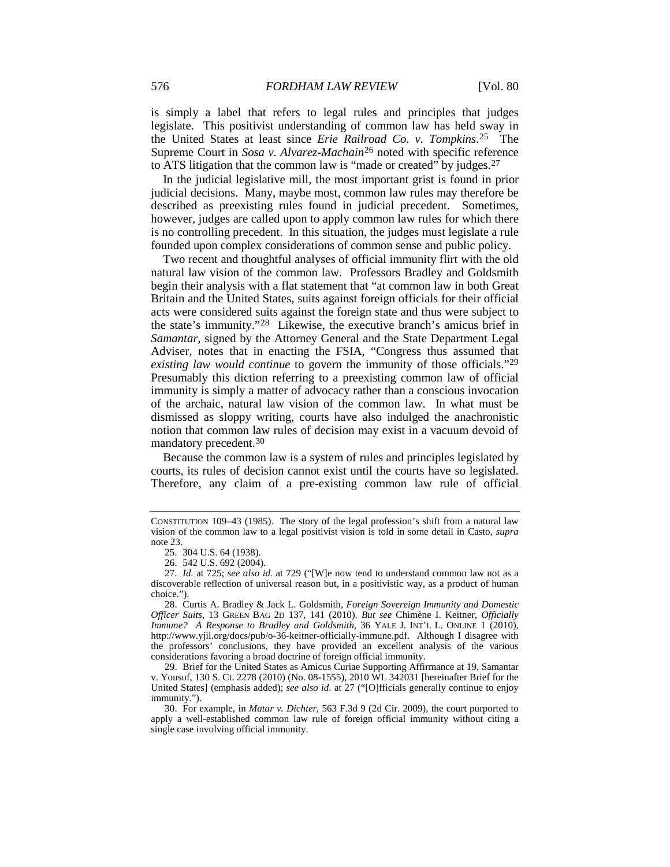is simply a label that refers to legal rules and principles that judges legislate. This positivist understanding of common law has held sway in the United States at least since *Erie Railroad Co. v. Tompkins*[.25](#page-4-0) The Supreme Court in *Sosa v. Alvarez-Machain*[26](#page-4-1) noted with specific reference to ATS litigation that the common law is "made or created" by judges.[27](#page-4-2)

In the judicial legislative mill, the most important grist is found in prior judicial decisions. Many, maybe most, common law rules may therefore be described as preexisting rules found in judicial precedent. Sometimes, however, judges are called upon to apply common law rules for which there is no controlling precedent. In this situation, the judges must legislate a rule founded upon complex considerations of common sense and public policy.

<span id="page-4-7"></span>Two recent and thoughtful analyses of official immunity flirt with the old natural law vision of the common law. Professors Bradley and Goldsmith begin their analysis with a flat statement that "at common law in both Great Britain and the United States, suits against foreign officials for their official acts were considered suits against the foreign state and thus were subject to the state's immunity."[28](#page-4-3) Likewise, the executive branch's amicus brief in *Samantar*, signed by the Attorney General and the State Department Legal Adviser, notes that in enacting the FSIA, "Congress thus assumed that *existing law would continue* to govern the immunity of those officials."[29](#page-4-4) Presumably this diction referring to a preexisting common law of official immunity is simply a matter of advocacy rather than a conscious invocation of the archaic, natural law vision of the common law. In what must be dismissed as sloppy writing, courts have also indulged the anachronistic notion that common law rules of decision may exist in a vacuum devoid of mandatory precedent.[30](#page-4-5)

<span id="page-4-6"></span>Because the common law is a system of rules and principles legislated by courts, its rules of decision cannot exist until the courts have so legislated. Therefore, any claim of a pre-existing common law rule of official

CONSTITUTION 109–43 (1985). The story of the legal profession's shift from a natural law vision of the common law to a legal positivist vision is told in some detail in Casto, *supra* not[e 23.](#page-3-0)

<sup>25.</sup> 304 U.S. 64 (1938).

<sup>26.</sup> 542 U.S. 692 (2004).

<span id="page-4-2"></span><span id="page-4-1"></span><span id="page-4-0"></span><sup>27</sup>*. Id.* at 725; *see also id.* at 729 ("[W]e now tend to understand common law not as a discoverable reflection of universal reason but, in a positivistic way, as a product of human choice.").

<span id="page-4-3"></span><sup>28.</sup> Curtis A. Bradley & Jack L. Goldsmith, *Foreign Sovereign Immunity and Domestic Officer Suits*, 13 GREEN BAG 2D 137, 141 (2010). *But see* Chimène I. Keitner, *Officially Immune? A Response to Bradley and Goldsmith*, 36 YALE J. INT'L L. ONLINE 1 (2010), http://www.yjil.org/docs/pub/o-36-keitner-officially-immune.pdf. Although I disagree with the professors' conclusions, they have provided an excellent analysis of the various considerations favoring a broad doctrine of foreign official immunity.

<span id="page-4-4"></span><sup>29.</sup> Brief for the United States as Amicus Curiae Supporting Affirmance at 19, Samantar v. Yousuf, 130 S. Ct. 2278 (2010) (No. 08-1555), 2010 WL 342031 [hereinafter Brief for the United States] (emphasis added); *see also id.* at 27 ("[O]fficials generally continue to enjoy immunity.").

<span id="page-4-5"></span><sup>30.</sup> For example, in *Matar v. Dichter*, 563 F.3d 9 (2d Cir. 2009), the court purported to apply a well-established common law rule of foreign official immunity without citing a single case involving official immunity.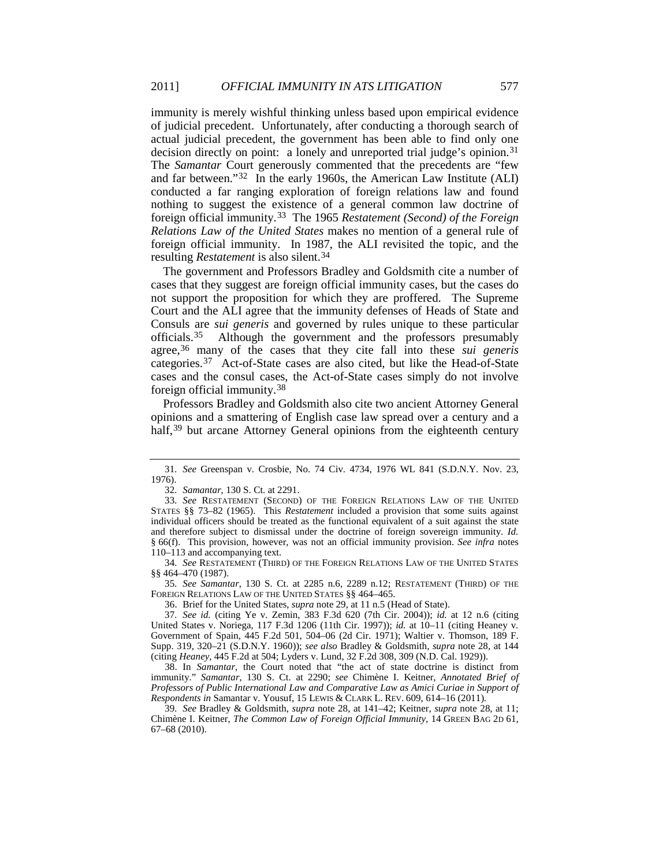immunity is merely wishful thinking unless based upon empirical evidence of judicial precedent. Unfortunately, after conducting a thorough search of actual judicial precedent, the government has been able to find only one decision directly on point: a lonely and unreported trial judge's opinion.<sup>[31](#page-5-1)</sup> The *Samantar* Court generously commented that the precedents are "few and far between."[32](#page-5-2) In the early 1960s, the American Law Institute (ALI) conducted a far ranging exploration of foreign relations law and found nothing to suggest the existence of a general common law doctrine of foreign official immunity.[33](#page-5-3) The 1965 *Restatement (Second) of the Foreign Relations Law of the United States* makes no mention of a general rule of foreign official immunity. In 1987, the ALI revisited the topic, and the resulting *Restatement* is also silent.[34](#page-5-4)

The government and Professors Bradley and Goldsmith cite a number of cases that they suggest are foreign official immunity cases, but the cases do not support the proposition for which they are proffered. The Supreme Court and the ALI agree that the immunity defenses of Heads of State and Consuls are *sui generis* and governed by rules unique to these particular officials.[35](#page-5-5) Although the government and the professors presumably agree,[36](#page-5-6) many of the cases that they cite fall into these *sui generis* categories.[37](#page-5-7) Act-of-State cases are also cited, but like the Head-of-State cases and the consul cases, the Act-of-State cases simply do not involve foreign official immunity.[38](#page-5-8)

<span id="page-5-0"></span>Professors Bradley and Goldsmith also cite two ancient Attorney General opinions and a smattering of English case law spread over a century and a half,<sup>[39](#page-5-9)</sup> but arcane Attorney General opinions from the eighteenth century

<span id="page-5-5"></span>35*. See Samantar*, 130 S. Ct. at 2285 n.6, 2289 n.12; RESTATEMENT (THIRD) OF THE FOREIGN RELATIONS LAW OF THE UNITED STATES §§ 464–465.

36. Brief for the United States, *supra* note [29,](#page-4-6) at 11 n.5 (Head of State).

<span id="page-5-1"></span><sup>31</sup>*. See* Greenspan v. Crosbie, No. 74 Civ. 4734, 1976 WL 841 (S.D.N.Y. Nov. 23, 1976).

<sup>32</sup>*. Samantar*, 130 S. Ct. at 2291.

<span id="page-5-3"></span><span id="page-5-2"></span><sup>33</sup>*. See* RESTATEMENT (SECOND) OF THE FOREIGN RELATIONS LAW OF THE UNITED STATES §§ 73–82 (1965). This *Restatement* included a provision that some suits against individual officers should be treated as the functional equivalent of a suit against the state and therefore subject to dismissal under the doctrine of foreign sovereign immunity. *Id.* § 66(f). This provision, however, was not an official immunity provision. *See infra* notes [110–](#page-17-0)[113](#page-17-1) and accompanying text.

<span id="page-5-4"></span><sup>34</sup>*. See* RESTATEMENT (THIRD) OF THE FOREIGN RELATIONS LAW OF THE UNITED STATES §§ 464–470 (1987).

<span id="page-5-7"></span><span id="page-5-6"></span><sup>37</sup>*. See id.* (citing Ye v. Zemin, 383 F.3d 620 (7th Cir. 2004)); *id.* at 12 n.6 (citing United States v. Noriega, 117 F.3d 1206 (11th Cir. 1997)); *id.* at 10–11 (citing Heaney v. Government of Spain, 445 F.2d 501, 504–06 (2d Cir. 1971); Waltier v. Thomson, 189 F. Supp. 319, 320–21 (S.D.N.Y. 1960)); *see also* Bradley & Goldsmith, *supra* note [28,](#page-4-7) at 144 (citing *Heaney*, 445 F.2d at 504; Lyders v. Lund, 32 F.2d 308, 309 (N.D. Cal. 1929)).

<span id="page-5-8"></span><sup>38.</sup> In *Samantar*, the Court noted that "the act of state doctrine is distinct from immunity." *Samantar*, 130 S. Ct. at 2290; *see* Chimène I. Keitner, *Annotated Brief of Professors of Public International Law and Comparative Law as Amici Curiae in Support of Respondents in* Samantar v. Yousuf, 15 LEWIS & CLARK L. REV. 609, 614–16 (2011).

<span id="page-5-9"></span><sup>39</sup>*. See* Bradley & Goldsmith, *supra* note [28,](#page-4-7) at 141–42; Keitner, *supra* note [28,](#page-4-7) at 11; Chimène I. Keitner, *The Common Law of Foreign Official Immunity*, 14 GREEN BAG 2D 61, 67–68 (2010).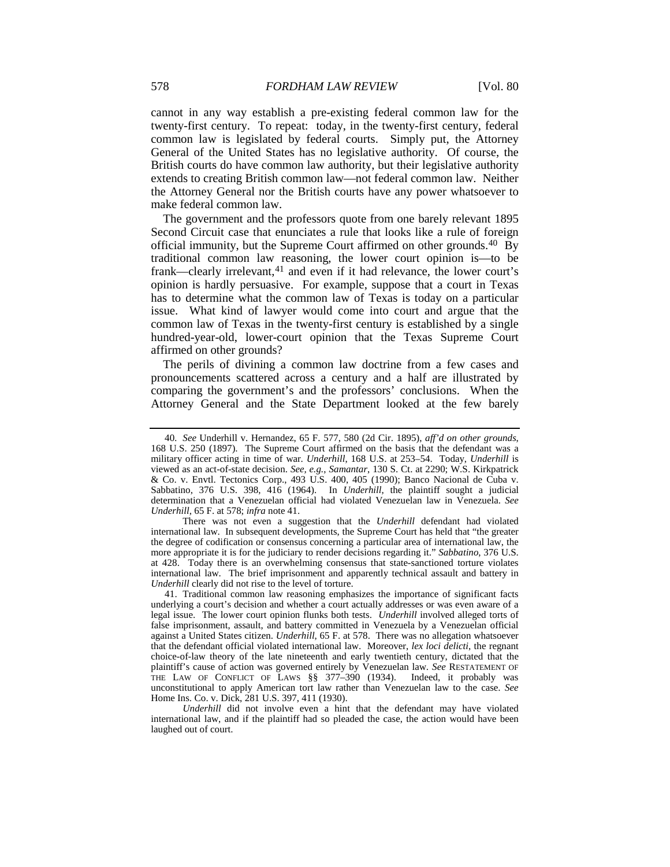cannot in any way establish a pre-existing federal common law for the twenty-first century. To repeat: today, in the twenty-first century, federal common law is legislated by federal courts. Simply put, the Attorney General of the United States has no legislative authority. Of course, the British courts do have common law authority, but their legislative authority extends to creating British common law—not federal common law. Neither the Attorney General nor the British courts have any power whatsoever to make federal common law.

<span id="page-6-0"></span>The government and the professors quote from one barely relevant 1895 Second Circuit case that enunciates a rule that looks like a rule of foreign official immunity, but the Supreme Court affirmed on other grounds.<sup>40</sup> By traditional common law reasoning, the lower court opinion is—to be frank—clearly irrelevant,<sup>[41](#page-6-2)</sup> and even if it had relevance, the lower court's opinion is hardly persuasive. For example, suppose that a court in Texas has to determine what the common law of Texas is today on a particular issue. What kind of lawyer would come into court and argue that the common law of Texas in the twenty-first century is established by a single hundred-year-old, lower-court opinion that the Texas Supreme Court affirmed on other grounds?

The perils of divining a common law doctrine from a few cases and pronouncements scattered across a century and a half are illustrated by comparing the government's and the professors' conclusions. When the Attorney General and the State Department looked at the few barely

<span id="page-6-1"></span><sup>40</sup>*. See* Underhill v. Hernandez, 65 F. 577, 580 (2d Cir. 1895), *aff'd on other grounds*, 168 U.S. 250 (1897). The Supreme Court affirmed on the basis that the defendant was a military officer acting in time of war. *Underhill*, 168 U.S. at 253–54. Today, *Underhill* is viewed as an act-of-state decision. *See, e.g.*, *Samantar*, 130 S. Ct. at 2290; W.S. Kirkpatrick & Co. v. Envtl. Tectonics Corp., 493 U.S. 400, 405 (1990); Banco Nacional de Cuba v. Sabbatino, 376 U.S. 398, 416 (1964). In *Underhill*, the plaintiff sought a judicial determination that a Venezuelan official had violated Venezuelan law in Venezuela. *See Underhill*, 65 F. at 578; *infra* not[e 41.](#page-6-0)

There was not even a suggestion that the *Underhill* defendant had violated international law. In subsequent developments, the Supreme Court has held that "the greater the degree of codification or consensus concerning a particular area of international law, the more appropriate it is for the judiciary to render decisions regarding it." *Sabbatino*, 376 U.S. at 428. Today there is an overwhelming consensus that state-sanctioned torture violates international law. The brief imprisonment and apparently technical assault and battery in *Underhill* clearly did not rise to the level of torture.

<span id="page-6-2"></span><sup>41.</sup> Traditional common law reasoning emphasizes the importance of significant facts underlying a court's decision and whether a court actually addresses or was even aware of a legal issue. The lower court opinion flunks both tests. *Underhill* involved alleged torts of false imprisonment, assault, and battery committed in Venezuela by a Venezuelan official against a United States citizen. *Underhill*, 65 F. at 578. There was no allegation whatsoever that the defendant official violated international law. Moreover, *lex loci delicti*, the regnant choice-of-law theory of the late nineteenth and early twentieth century, dictated that the plaintiff's cause of action was governed entirely by Venezuelan law. *See* RESTATEMENT OF THE LAW OF CONFLICT OF LAWS §§ 377–390 (1934). Indeed, it probably was unconstitutional to apply American tort law rather than Venezuelan law to the case. *See* Home Ins. Co. v. Dick, 281 U.S. 397, 411 (1930).

*Underhill* did not involve even a hint that the defendant may have violated international law, and if the plaintiff had so pleaded the case, the action would have been laughed out of court.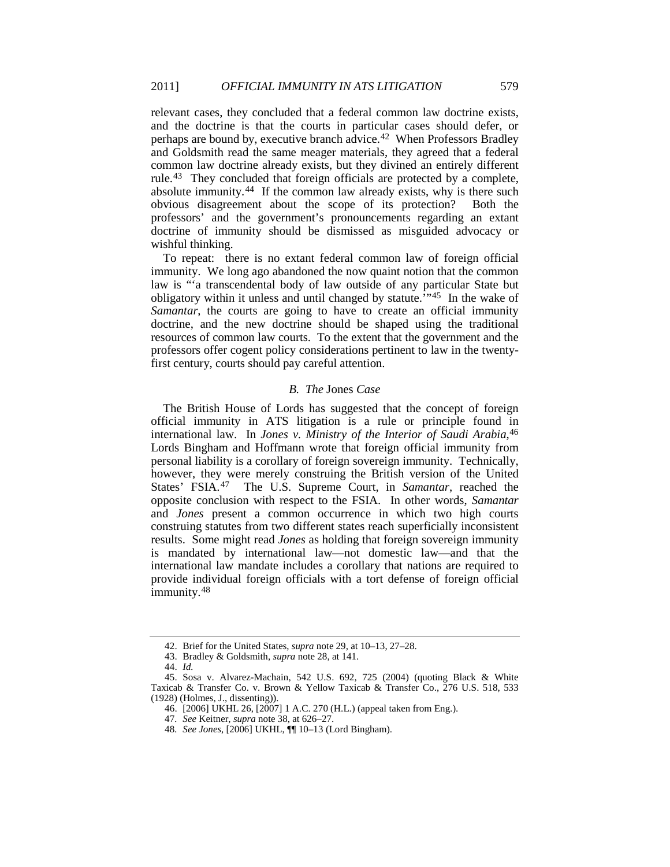relevant cases, they concluded that a federal common law doctrine exists, and the doctrine is that the courts in particular cases should defer, or perhaps are bound by, executive branch advice.[42](#page-7-1) When Professors Bradley and Goldsmith read the same meager materials, they agreed that a federal common law doctrine already exists, but they divined an entirely different rule.[43](#page-7-2) They concluded that foreign officials are protected by a complete, absolute immunity.<sup>[44](#page-7-3)</sup> If the common law already exists, why is there such obvious disagreement about the scope of its protection? Both the professors' and the government's pronouncements regarding an extant doctrine of immunity should be dismissed as misguided advocacy or wishful thinking.

To repeat: there is no extant federal common law of foreign official immunity. We long ago abandoned the now quaint notion that the common law is "'a transcendental body of law outside of any particular State but obligatory within it unless and until changed by statute.'" [45](#page-7-4) In the wake of *Samantar*, the courts are going to have to create an official immunity doctrine, and the new doctrine should be shaped using the traditional resources of common law courts. To the extent that the government and the professors offer cogent policy considerations pertinent to law in the twentyfirst century, courts should pay careful attention.

#### <span id="page-7-8"></span><span id="page-7-0"></span>*B. The* Jones *Case*

The British House of Lords has suggested that the concept of foreign official immunity in ATS litigation is a rule or principle found in international law. In *Jones v. Ministry of the Interior of Saudi Arabia*, [46](#page-7-5) Lords Bingham and Hoffmann wrote that foreign official immunity from personal liability is a corollary of foreign sovereign immunity. Technically, however, they were merely construing the British version of the United States' FSIA.[47](#page-7-6) The U.S. Supreme Court, in *Samantar*, reached the opposite conclusion with respect to the FSIA. In other words, *Samantar* and *Jones* present a common occurrence in which two high courts construing statutes from two different states reach superficially inconsistent results. Some might read *Jones* as holding that foreign sovereign immunity is mandated by international law—not domestic law—and that the international law mandate includes a corollary that nations are required to provide individual foreign officials with a tort defense of foreign official immunity.[48](#page-7-7)

<sup>42.</sup> Brief for the United States, *supra* note [29,](#page-4-6) at 10–13, 27–28.

<sup>43.</sup> Bradley & Goldsmith, *supra* note [28,](#page-4-7) at 141.

<sup>44.</sup> *Id.*

<span id="page-7-7"></span><span id="page-7-6"></span><span id="page-7-5"></span><span id="page-7-4"></span><span id="page-7-3"></span><span id="page-7-2"></span><span id="page-7-1"></span><sup>45.</sup> Sosa v. Alvarez-Machain, 542 U.S. 692, 725 (2004) (quoting Black & White Taxicab & Transfer Co. v. Brown & Yellow Taxicab & Transfer Co., 276 U.S. 518, 533 (1928) (Holmes, J., dissenting)).

<sup>46.</sup> [2006] UKHL 26, [2007] 1 A.C. 270 (H.L.) (appeal taken from Eng.).

<sup>47</sup>*. See* Keitner, *supra* not[e 38,](#page-5-0) at 626–27.

<sup>48</sup>*. See Jones*, [2006] UKHL, ¶¶ 10–13 (Lord Bingham).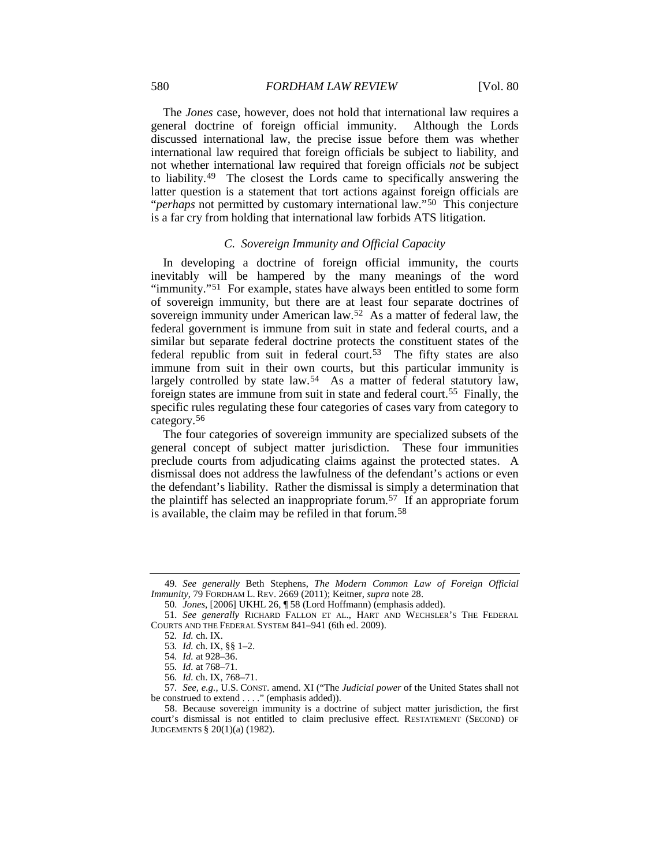The *Jones* case, however, does not hold that international law requires a general doctrine of foreign official immunity. Although the Lords discussed international law, the precise issue before them was whether international law required that foreign officials be subject to liability, and not whether international law required that foreign officials *not* be subject to liability.[49](#page-8-1) The closest the Lords came to specifically answering the latter question is a statement that tort actions against foreign officials are "*perhaps* not permitted by customary international law."[50](#page-8-2) This conjecture is a far cry from holding that international law forbids ATS litigation.

# <span id="page-8-11"></span><span id="page-8-0"></span>*C. Sovereign Immunity and Official Capacity*

In developing a doctrine of foreign official immunity, the courts inevitably will be hampered by the many meanings of the word "immunity."<sup>51</sup> For example, states have always been entitled to some form of sovereign immunity, but there are at least four separate doctrines of sovereign immunity under American law.<sup>52</sup> As a matter of federal law, the federal government is immune from suit in state and federal courts, and a similar but separate federal doctrine protects the constituent states of the federal republic from suit in federal court.<sup>53</sup> The fifty states are also immune from suit in their own courts, but this particular immunity is largely controlled by state law.<sup>54</sup> As a matter of federal statutory law, foreign states are immune from suit in state and federal court.[55](#page-8-7) Finally, the specific rules regulating these four categories of cases vary from category to category.[56](#page-8-8)

The four categories of sovereign immunity are specialized subsets of the general concept of subject matter jurisdiction. These four immunities preclude courts from adjudicating claims against the protected states. A dismissal does not address the lawfulness of the defendant's actions or even the defendant's liability. Rather the dismissal is simply a determination that the plaintiff has selected an inappropriate forum.<sup>[57](#page-8-9)</sup> If an appropriate forum is available, the claim may be refiled in that forum.[58](#page-8-10)

<span id="page-8-1"></span><sup>49</sup>*. See generally* Beth Stephens, *The Modern Common Law of Foreign Official Immunity*, 79 FORDHAM L. REV. 2669 (2011); Keitner, *supra* note [28.](#page-4-7)

<sup>50</sup>*. Jones*, [2006] UKHL 26, ¶ 58 (Lord Hoffmann) (emphasis added).

<span id="page-8-5"></span><span id="page-8-4"></span><span id="page-8-3"></span><span id="page-8-2"></span><sup>51</sup>*. See generally* RICHARD FALLON ET AL., HART AND WECHSLER'S THE FEDERAL COURTS AND THE FEDERAL SYSTEM 841–941 (6th ed. 2009).

<sup>52</sup>*. Id.* ch. IX.

<sup>53</sup>*. Id.* ch. IX, §§ 1–2.

<sup>54</sup>*. Id.* at 928–36.

<sup>55</sup>*. Id.* at 768–71.

<sup>56</sup>*. Id.* ch. IX, 768–71.

<span id="page-8-9"></span><span id="page-8-8"></span><span id="page-8-7"></span><span id="page-8-6"></span><sup>57</sup>*. See, e.g.*, U.S. CONST. amend. XI ("The *Judicial power* of the United States shall not be construed to extend . . . ." (emphasis added)).

<span id="page-8-10"></span><sup>58.</sup> Because sovereign immunity is a doctrine of subject matter jurisdiction, the first court's dismissal is not entitled to claim preclusive effect. RESTATEMENT (SECOND) OF JUDGEMENTS § 20(1)(a) (1982).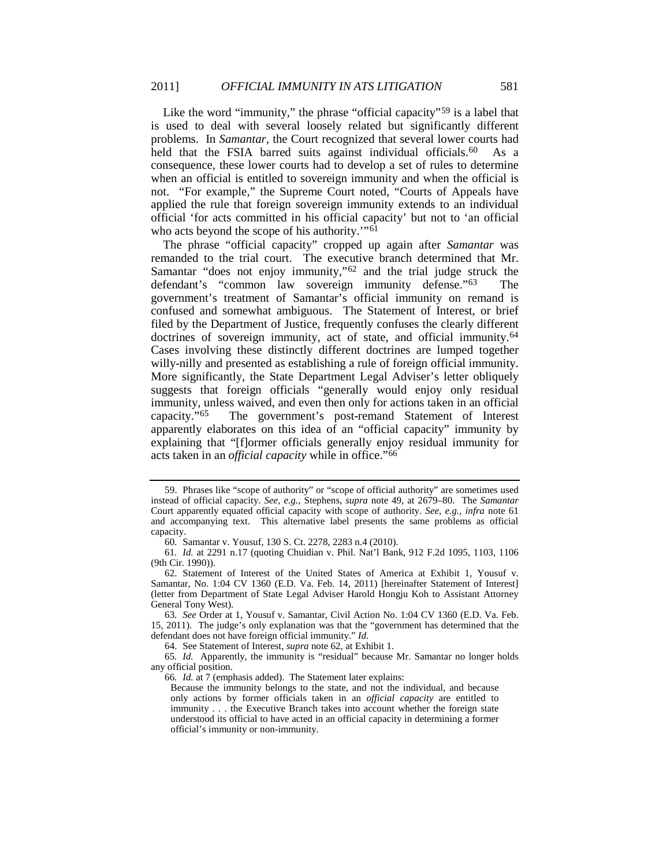<span id="page-9-1"></span>Like the word "immunity," the phrase "official capacity"<sup>[59](#page-9-4)</sup> is a label that is used to deal with several loosely related but significantly different problems. In *Samantar*, the Court recognized that several lower courts had held that the FSIA barred suits against individual officials.<sup>60</sup> As a consequence, these lower courts had to develop a set of rules to determine when an official is entitled to sovereign immunity and when the official is not. "For example," the Supreme Court noted, "Courts of Appeals have applied the rule that foreign sovereign immunity extends to an individual official 'for acts committed in his official capacity' but not to 'an official who acts beyond the scope of his authority."<sup>[61](#page-9-6)</sup>

<span id="page-9-3"></span><span id="page-9-2"></span><span id="page-9-0"></span>The phrase "official capacity" cropped up again after *Samantar* was remanded to the trial court. The executive branch determined that Mr. Samantar "does not enjoy immunity,"[62](#page-9-7) and the trial judge struck the defendant's "common law sovereign immunity defense."[63](#page-9-8) The government's treatment of Samantar's official immunity on remand is confused and somewhat ambiguous. The Statement of Interest, or brief filed by the Department of Justice, frequently confuses the clearly different doctrines of sovereign immunity, act of state, and official immunity.<sup>[64](#page-9-9)</sup> Cases involving these distinctly different doctrines are lumped together willy-nilly and presented as establishing a rule of foreign official immunity. More significantly, the State Department Legal Adviser's letter obliquely suggests that foreign officials "generally would enjoy only residual immunity, unless waived, and even then only for actions taken in an official capacity."[65](#page-9-10) The government's post-remand Statement of Interest apparently elaborates on this idea of an "official capacity" immunity by explaining that "[f]ormer officials generally enjoy residual immunity for acts taken in an *official capacity* while in office."[66](#page-9-11)

60*.* Samantar v. Yousuf, 130 S. Ct. 2278, 2283 n.4 (2010).

64. See Statement of Interest, *supra* not[e 62,](#page-9-3) at Exhibit 1.

<span id="page-9-4"></span><sup>59.</sup> Phrases like "scope of authority" or "scope of official authority" are sometimes used instead of official capacity. *See, e.g.*, Stephens, *supra* note [49,](#page-8-11) at 2679–80. The *Samantar* Court apparently equated official capacity with scope of authority. *See, e.g.*, *infra* note [61](#page-9-2) and accompanying text. This alternative label presents the same problems as official capacity.

<span id="page-9-6"></span><span id="page-9-5"></span><sup>61</sup>*. Id.* at 2291 n.17 (quoting Chuidian v. Phil. Nat'l Bank, 912 F.2d 1095, 1103, 1106 (9th Cir. 1990)).

<span id="page-9-7"></span><sup>62.</sup> Statement of Interest of the United States of America at Exhibit 1, Yousuf v. Samantar, No. 1:04 CV 1360 (E.D. Va. Feb. 14, 2011) [hereinafter Statement of Interest] (letter from Department of State Legal Adviser Harold Hongju Koh to Assistant Attorney General Tony West).

<span id="page-9-8"></span><sup>63</sup>*. See* Order at 1, Yousuf v. Samantar, Civil Action No. 1:04 CV 1360 (E.D. Va. Feb. 15, 2011). The judge's only explanation was that the "government has determined that the defendant does not have foreign official immunity." *Id.*

<span id="page-9-11"></span><span id="page-9-10"></span><span id="page-9-9"></span><sup>65</sup>*. Id.* Apparently, the immunity is "residual" because Mr. Samantar no longer holds any official position.

<sup>66</sup>*. Id.* at 7 (emphasis added). The Statement later explains:

Because the immunity belongs to the state, and not the individual, and because only actions by former officials taken in an *official capacity* are entitled to immunity . . . the Executive Branch takes into account whether the foreign state understood its official to have acted in an official capacity in determining a former official's immunity or non-immunity.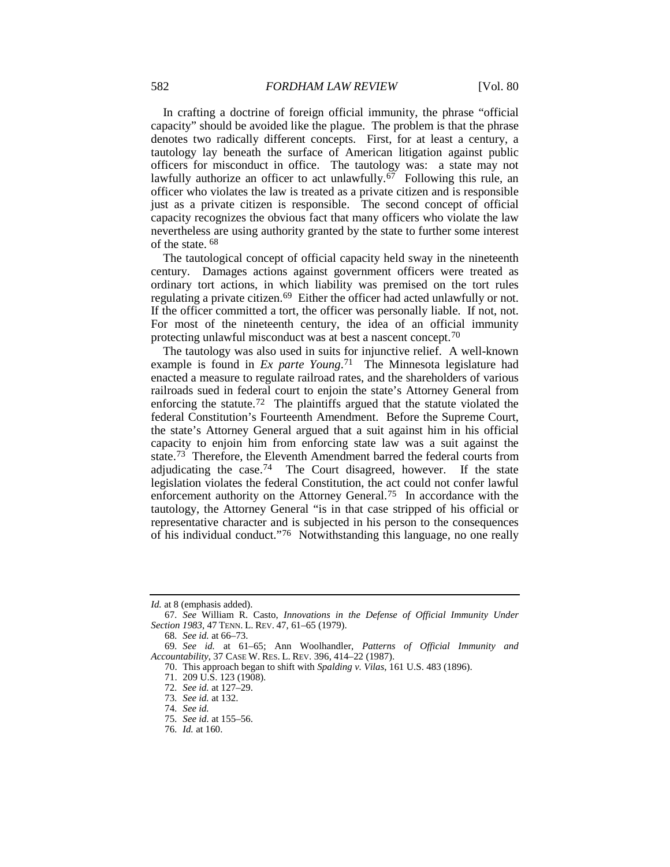In crafting a doctrine of foreign official immunity, the phrase "official capacity" should be avoided like the plague. The problem is that the phrase denotes two radically different concepts. First, for at least a century, a tautology lay beneath the surface of American litigation against public officers for misconduct in office. The tautology was: a state may not lawfully authorize an officer to act unlawfully.<sup>[67](#page-10-0)</sup> Following this rule, an officer who violates the law is treated as a private citizen and is responsible just as a private citizen is responsible. The second concept of official capacity recognizes the obvious fact that many officers who violate the law nevertheless are using authority granted by the state to further some interest of the state. [68](#page-10-1)

The tautological concept of official capacity held sway in the nineteenth century. Damages actions against government officers were treated as ordinary tort actions, in which liability was premised on the tort rules regulating a private citizen.[69](#page-10-2) Either the officer had acted unlawfully or not. If the officer committed a tort, the officer was personally liable. If not, not. For most of the nineteenth century, the idea of an official immunity protecting unlawful misconduct was at best a nascent concept.[70](#page-10-3)

The tautology was also used in suits for injunctive relief. A well-known example is found in *Ex parte Young*.[71](#page-10-4) The Minnesota legislature had enacted a measure to regulate railroad rates, and the shareholders of various railroads sued in federal court to enjoin the state's Attorney General from enforcing the statute.[72](#page-10-5) The plaintiffs argued that the statute violated the federal Constitution's Fourteenth Amendment. Before the Supreme Court, the state's Attorney General argued that a suit against him in his official capacity to enjoin him from enforcing state law was a suit against the state[.73](#page-10-6) Therefore, the Eleventh Amendment barred the federal courts from adjudicating the case.[74](#page-10-7) The Court disagreed, however. If the state legislation violates the federal Constitution, the act could not confer lawful enforcement authority on the Attorney General.[75](#page-10-8) In accordance with the tautology, the Attorney General "is in that case stripped of his official or representative character and is subjected in his person to the consequences of his individual conduct."[76](#page-10-9) Notwithstanding this language, no one really

*Id.* at 8 (emphasis added).

<span id="page-10-0"></span><sup>67</sup>*. See* William R. Casto, *Innovations in the Defense of Official Immunity Under Section 1983*, 47 TENN. L. REV. 47, 61–65 (1979).

<sup>68</sup>*. See id.* at 66–73.

<span id="page-10-7"></span><span id="page-10-6"></span><span id="page-10-5"></span><span id="page-10-4"></span><span id="page-10-3"></span><span id="page-10-2"></span><span id="page-10-1"></span><sup>69</sup>*. See id.* at 61–65; Ann Woolhandler, *Patterns of Official Immunity and Accountability*, 37 CASE W. RES. L. REV. 396, 414–22 (1987).

<sup>70.</sup> This approach began to shift with *Spalding v. Vilas*, 161 U.S. 483 (1896).

<sup>71.</sup> 209 U.S. 123 (1908).

<sup>72</sup>*. See id.* at 127–29.

<sup>73</sup>*. See id.* at 132.

<sup>74</sup>*. See id.*

<span id="page-10-8"></span><sup>75</sup>*. See id.* at 155–56.

<span id="page-10-9"></span><sup>76</sup>*. Id.* at 160.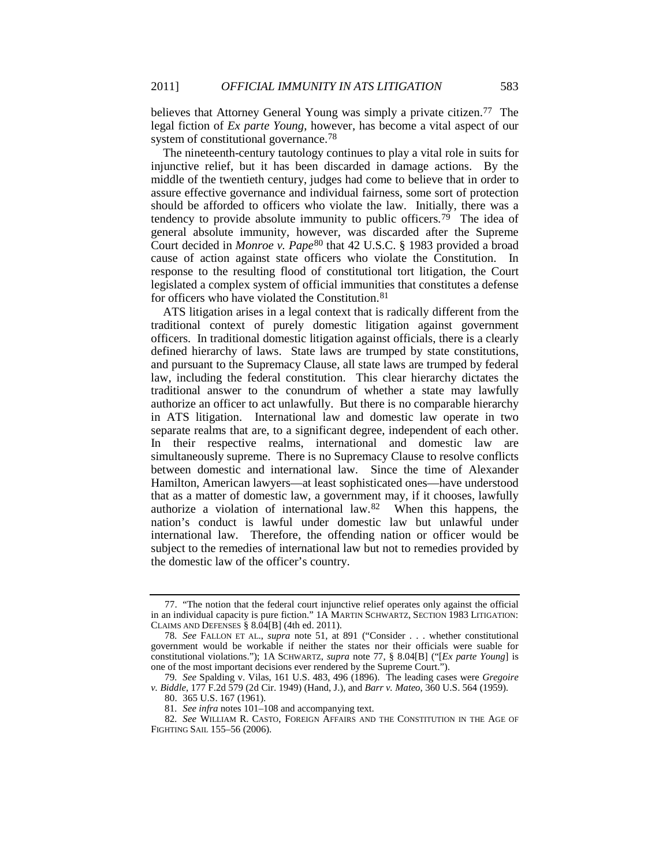<span id="page-11-0"></span>believes that Attorney General Young was simply a private citizen.<sup>77</sup> The legal fiction of *Ex parte Young*, however, has become a vital aspect of our system of constitutional governance.<sup>[78](#page-11-2)</sup>

The nineteenth-century tautology continues to play a vital role in suits for injunctive relief, but it has been discarded in damage actions. By the middle of the twentieth century, judges had come to believe that in order to assure effective governance and individual fairness, some sort of protection should be afforded to officers who violate the law. Initially, there was a tendency to provide absolute immunity to public officers.<sup>79</sup> The idea of general absolute immunity, however, was discarded after the Supreme Court decided in *Monroe v. Pape*[80](#page-11-4) that 42 U.S.C. § 1983 provided a broad cause of action against state officers who violate the Constitution. In response to the resulting flood of constitutional tort litigation, the Court legislated a complex system of official immunities that constitutes a defense for officers who have violated the Constitution.[81](#page-11-5)

ATS litigation arises in a legal context that is radically different from the traditional context of purely domestic litigation against government officers. In traditional domestic litigation against officials, there is a clearly defined hierarchy of laws. State laws are trumped by state constitutions, and pursuant to the Supremacy Clause, all state laws are trumped by federal law, including the federal constitution. This clear hierarchy dictates the traditional answer to the conundrum of whether a state may lawfully authorize an officer to act unlawfully. But there is no comparable hierarchy in ATS litigation. International law and domestic law operate in two separate realms that are, to a significant degree, independent of each other. In their respective realms, international and domestic law are simultaneously supreme. There is no Supremacy Clause to resolve conflicts between domestic and international law. Since the time of Alexander Hamilton, American lawyers—at least sophisticated ones—have understood that as a matter of domestic law, a government may, if it chooses, lawfully authorize a violation of international law.[82](#page-11-6) When this happens, the nation's conduct is lawful under domestic law but unlawful under international law. Therefore, the offending nation or officer would be subject to the remedies of international law but not to remedies provided by the domestic law of the officer's country.

<span id="page-11-1"></span><sup>77.</sup> "The notion that the federal court injunctive relief operates only against the official in an individual capacity is pure fiction." 1A MARTIN SCHWARTZ, SECTION 1983 LITIGATION: CLAIMS AND DEFENSES § 8.04[B] (4th ed. 2011).

<span id="page-11-2"></span><sup>78</sup>*. See* FALLON ET AL., *supra* note [51,](#page-8-0) at 891 ("Consider . . . whether constitutional government would be workable if neither the states nor their officials were suable for constitutional violations."); 1A SCHWARTZ, *supra* note [77,](#page-11-0) § 8.04[B] ("[*Ex parte Young*] is one of the most important decisions ever rendered by the Supreme Court.").

<span id="page-11-4"></span><span id="page-11-3"></span><sup>79</sup>*. See* Spalding v. Vilas, 161 U.S. 483, 496 (1896). The leading cases were *Gregoire v. Biddle*, 177 F.2d 579 (2d Cir. 1949) (Hand, J.), and *Barr v. Mateo*, 360 U.S. 564 (1959).

<sup>80.</sup> 365 U.S. 167 (1961).

<sup>81</sup>*. See infra* note[s 101](#page-16-1)[–108](#page-16-0) and accompanying text.

<span id="page-11-6"></span><span id="page-11-5"></span><sup>82</sup>*. See* WILLIAM R. CASTO, FOREIGN AFFAIRS AND THE CONSTITUTION IN THE AGE OF FIGHTING SAIL 155–56 (2006).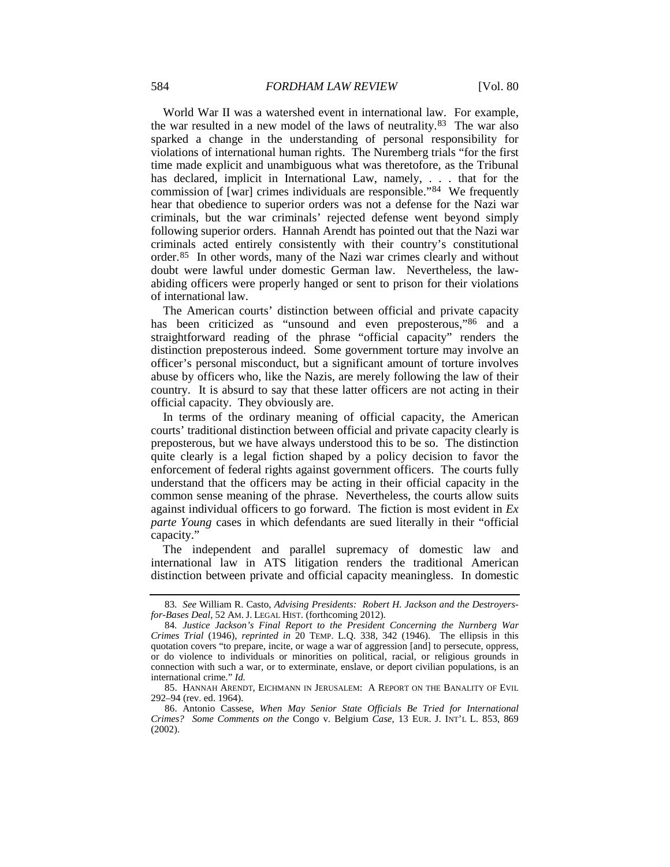World War II was a watershed event in international law. For example, the war resulted in a new model of the laws of neutrality.[83](#page-12-0) The war also sparked a change in the understanding of personal responsibility for violations of international human rights. The Nuremberg trials "for the first time made explicit and unambiguous what was theretofore, as the Tribunal has declared, implicit in International Law, namely, . . . that for the commission of [war] crimes individuals are responsible."[84](#page-12-1) We frequently hear that obedience to superior orders was not a defense for the Nazi war criminals, but the war criminals' rejected defense went beyond simply following superior orders. Hannah Arendt has pointed out that the Nazi war criminals acted entirely consistently with their country's constitutional order.[85](#page-12-2) In other words, many of the Nazi war crimes clearly and without doubt were lawful under domestic German law. Nevertheless, the lawabiding officers were properly hanged or sent to prison for their violations of international law.

The American courts' distinction between official and private capacity has been criticized as "unsound and even preposterous,"[86](#page-12-3) and a straightforward reading of the phrase "official capacity" renders the distinction preposterous indeed. Some government torture may involve an officer's personal misconduct, but a significant amount of torture involves abuse by officers who, like the Nazis, are merely following the law of their country. It is absurd to say that these latter officers are not acting in their official capacity. They obviously are.

In terms of the ordinary meaning of official capacity, the American courts' traditional distinction between official and private capacity clearly is preposterous, but we have always understood this to be so. The distinction quite clearly is a legal fiction shaped by a policy decision to favor the enforcement of federal rights against government officers. The courts fully understand that the officers may be acting in their official capacity in the common sense meaning of the phrase. Nevertheless, the courts allow suits against individual officers to go forward. The fiction is most evident in *Ex parte Young* cases in which defendants are sued literally in their "official capacity."

The independent and parallel supremacy of domestic law and international law in ATS litigation renders the traditional American distinction between private and official capacity meaningless. In domestic

<span id="page-12-0"></span><sup>83</sup>*. See* William R. Casto, *Advising Presidents: Robert H. Jackson and the Destroyersfor-Bases Deal*, 52 AM. J. LEGAL HIST. (forthcoming 2012).

<span id="page-12-1"></span><sup>84</sup>*. Justice Jackson's Final Report to the President Concerning the Nurnberg War Crimes Trial* (1946), *reprinted in* 20 TEMP. L.Q. 338, 342 (1946). The ellipsis in this quotation covers "to prepare, incite, or wage a war of aggression [and] to persecute, oppress, or do violence to individuals or minorities on political, racial, or religious grounds in connection with such a war, or to exterminate, enslave, or deport civilian populations, is an international crime." *Id.*

<span id="page-12-2"></span><sup>85.</sup> HANNAH ARENDT, EICHMANN IN JERUSALEM: A REPORT ON THE BANALITY OF EVIL 292–94 (rev. ed. 1964).

<span id="page-12-3"></span><sup>86.</sup> Antonio Cassese, *When May Senior State Officials Be Tried for International Crimes? Some Comments on the* Congo v. Belgium *Case*, 13 EUR. J. INT'L L. 853, 869 (2002).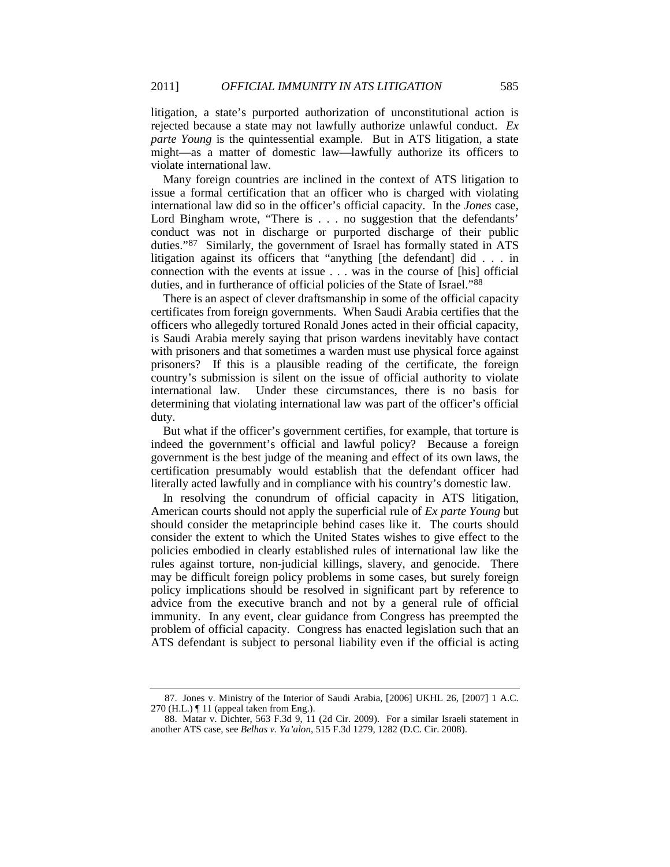litigation, a state's purported authorization of unconstitutional action is rejected because a state may not lawfully authorize unlawful conduct. *Ex parte Young* is the quintessential example. But in ATS litigation, a state might—as a matter of domestic law—lawfully authorize its officers to violate international law.

Many foreign countries are inclined in the context of ATS litigation to issue a formal certification that an officer who is charged with violating international law did so in the officer's official capacity. In the *Jones* case, Lord Bingham wrote, "There is . . . no suggestion that the defendants' conduct was not in discharge or purported discharge of their public duties.["87](#page-13-0) Similarly, the government of Israel has formally stated in ATS litigation against its officers that "anything [the defendant] did . . . in connection with the events at issue . . . was in the course of [his] official duties, and in furtherance of official policies of the State of Israel."[88](#page-13-1)

There is an aspect of clever draftsmanship in some of the official capacity certificates from foreign governments. When Saudi Arabia certifies that the officers who allegedly tortured Ronald Jones acted in their official capacity, is Saudi Arabia merely saying that prison wardens inevitably have contact with prisoners and that sometimes a warden must use physical force against prisoners? If this is a plausible reading of the certificate, the foreign country's submission is silent on the issue of official authority to violate international law. Under these circumstances, there is no basis for determining that violating international law was part of the officer's official duty.

But what if the officer's government certifies, for example, that torture is indeed the government's official and lawful policy? Because a foreign government is the best judge of the meaning and effect of its own laws, the certification presumably would establish that the defendant officer had literally acted lawfully and in compliance with his country's domestic law.

In resolving the conundrum of official capacity in ATS litigation, American courts should not apply the superficial rule of *Ex parte Young* but should consider the metaprinciple behind cases like it. The courts should consider the extent to which the United States wishes to give effect to the policies embodied in clearly established rules of international law like the rules against torture, non-judicial killings, slavery, and genocide. There may be difficult foreign policy problems in some cases, but surely foreign policy implications should be resolved in significant part by reference to advice from the executive branch and not by a general rule of official immunity. In any event, clear guidance from Congress has preempted the problem of official capacity. Congress has enacted legislation such that an ATS defendant is subject to personal liability even if the official is acting

<span id="page-13-0"></span><sup>87.</sup> Jones v. Ministry of the Interior of Saudi Arabia, [2006] UKHL 26, [2007] 1 A.C.  $270$  (H.L.)  $\P$  11 (appeal taken from Eng.).

<span id="page-13-1"></span><sup>88.</sup> Matar v. Dichter, 563 F.3d 9, 11 (2d Cir. 2009). For a similar Israeli statement in another ATS case, see *Belhas v. Ya'alon*, 515 F.3d 1279, 1282 (D.C. Cir. 2008).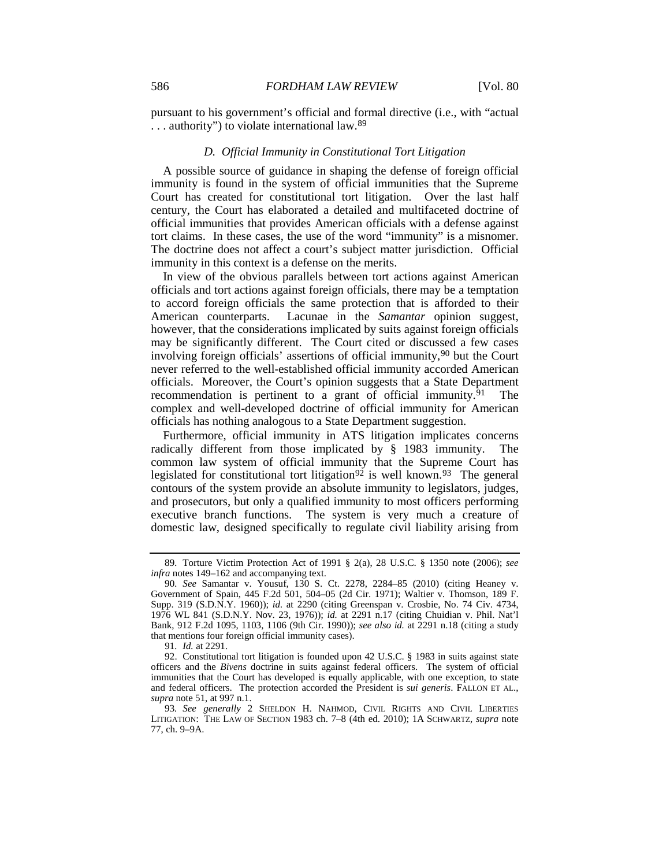pursuant to his government's official and formal directive (i.e., with "actual ... authority") to violate international law.<sup>[89](#page-14-2)</sup>

#### <span id="page-14-0"></span>*D. Official Immunity in Constitutional Tort Litigation*

A possible source of guidance in shaping the defense of foreign official immunity is found in the system of official immunities that the Supreme Court has created for constitutional tort litigation. Over the last half century, the Court has elaborated a detailed and multifaceted doctrine of official immunities that provides American officials with a defense against tort claims. In these cases, the use of the word "immunity" is a misnomer. The doctrine does not affect a court's subject matter jurisdiction. Official immunity in this context is a defense on the merits.

<span id="page-14-1"></span>In view of the obvious parallels between tort actions against American officials and tort actions against foreign officials, there may be a temptation to accord foreign officials the same protection that is afforded to their American counterparts. Lacunae in the *Samantar* opinion suggest, however, that the considerations implicated by suits against foreign officials may be significantly different. The Court cited or discussed a few cases involving foreign officials' assertions of official immunity,<sup>[90](#page-14-3)</sup> but the Court never referred to the well-established official immunity accorded American officials. Moreover, the Court's opinion suggests that a State Department recommendation is pertinent to a grant of official immunity.<sup>[91](#page-14-4)</sup> The complex and well-developed doctrine of official immunity for American officials has nothing analogous to a State Department suggestion.

Furthermore, official immunity in ATS litigation implicates concerns radically different from those implicated by § 1983 immunity. The common law system of official immunity that the Supreme Court has legislated for constitutional tort litigation<sup>[92](#page-14-5)</sup> is well known.<sup>[93](#page-14-6)</sup> The general contours of the system provide an absolute immunity to legislators, judges, and prosecutors, but only a qualified immunity to most officers performing executive branch functions. The system is very much a creature of domestic law, designed specifically to regulate civil liability arising from

<sup>89</sup>*.* Torture Victim Protection Act of 1991 § 2(a), 28 U.S.C. § 1350 note (2006); *see infra* notes [149–](#page-24-0)[162](#page-26-0) and accompanying text.

<span id="page-14-3"></span><span id="page-14-2"></span><sup>90</sup>*. See* Samantar v. Yousuf, 130 S. Ct. 2278, 2284–85 (2010) (citing Heaney v. Government of Spain, 445 F.2d 501, 504–05 (2d Cir. 1971); Waltier v. Thomson, 189 F. Supp. 319 (S.D.N.Y. 1960)); *id.* at 2290 (citing Greenspan v. Crosbie, No. 74 Civ. 4734, 1976 WL 841 (S.D.N.Y. Nov. 23, 1976)); *id.* at 2291 n.17 (citing Chuidian v. Phil. Nat'l Bank, 912 F.2d 1095, 1103, 1106 (9th Cir. 1990)); *see also id.* at 2291 n.18 (citing a study that mentions four foreign official immunity cases).

<sup>91</sup>*. Id.* at 2291.

<span id="page-14-5"></span><span id="page-14-4"></span><sup>92.</sup> Constitutional tort litigation is founded upon 42 U.S.C. § 1983 in suits against state officers and the *Bivens* doctrine in suits against federal officers. The system of official immunities that the Court has developed is equally applicable, with one exception, to state and federal officers. The protection accorded the President is *sui generis*. FALLON ET AL., *supra* not[e 51,](#page-8-0) at 997 n.1.

<span id="page-14-6"></span><sup>93</sup>*. See generally* 2 SHELDON H. NAHMOD, CIVIL RIGHTS AND CIVIL LIBERTIES LITIGATION: THE LAW OF SECTION 1983 ch. 7–8 (4th ed. 2010); 1A SCHWARTZ, *supra* note [77,](#page-11-0) ch. 9–9A.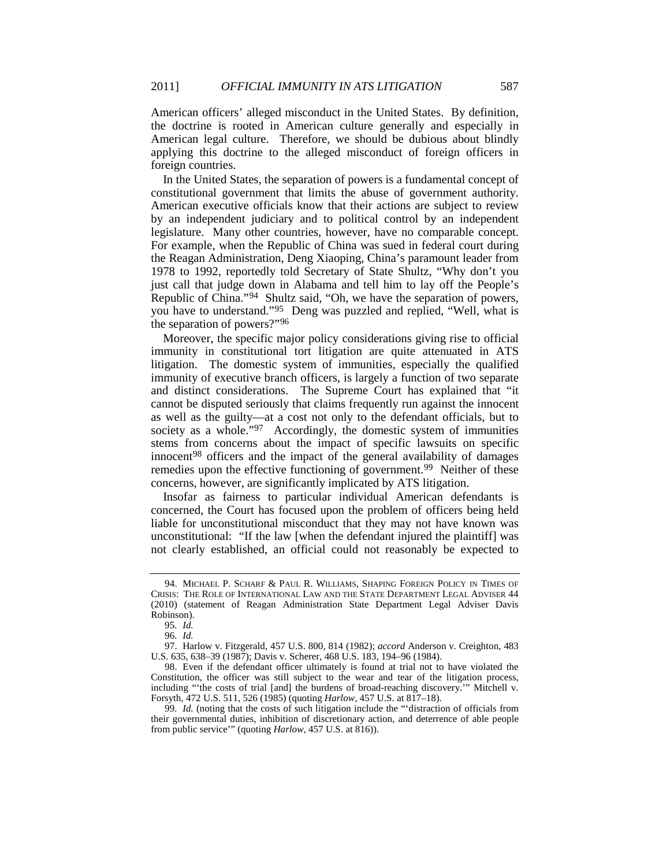American officers' alleged misconduct in the United States. By definition, the doctrine is rooted in American culture generally and especially in American legal culture. Therefore, we should be dubious about blindly applying this doctrine to the alleged misconduct of foreign officers in foreign countries.

In the United States, the separation of powers is a fundamental concept of constitutional government that limits the abuse of government authority. American executive officials know that their actions are subject to review by an independent judiciary and to political control by an independent legislature. Many other countries, however, have no comparable concept. For example, when the Republic of China was sued in federal court during the Reagan Administration, Deng Xiaoping, China's paramount leader from 1978 to 1992, reportedly told Secretary of State Shultz, "Why don't you just call that judge down in Alabama and tell him to lay off the People's Republic of China."[94](#page-15-0) Shultz said, "Oh, we have the separation of powers, you have to understand."[95](#page-15-1) Deng was puzzled and replied, "Well, what is the separation of powers?"[96](#page-15-2)

<span id="page-15-6"></span>Moreover, the specific major policy considerations giving rise to official immunity in constitutional tort litigation are quite attenuated in ATS litigation. The domestic system of immunities, especially the qualified immunity of executive branch officers, is largely a function of two separate and distinct considerations. The Supreme Court has explained that "it cannot be disputed seriously that claims frequently run against the innocent as well as the guilty—at a cost not only to the defendant officials, but to society as a whole."<sup>97</sup> Accordingly, the domestic system of immunities stems from concerns about the impact of specific lawsuits on specific innocent<sup>98</sup> officers and the impact of the general availability of damages remedies upon the effective functioning of government.<sup>[99](#page-15-5)</sup> Neither of these concerns, however, are significantly implicated by ATS litigation.

Insofar as fairness to particular individual American defendants is concerned, the Court has focused upon the problem of officers being held liable for unconstitutional misconduct that they may not have known was unconstitutional: "If the law [when the defendant injured the plaintiff] was not clearly established, an official could not reasonably be expected to

<span id="page-15-0"></span><sup>94.</sup> MICHAEL P. SCHARF & PAUL R. WILLIAMS, SHAPING FOREIGN POLICY IN TIMES OF CRISIS: THE ROLE OF INTERNATIONAL LAW AND THE STATE DEPARTMENT LEGAL ADVISER 44 (2010) (statement of Reagan Administration State Department Legal Adviser Davis Robinson).

<sup>95</sup>*. Id.*

<sup>96</sup>*. Id.*

<span id="page-15-3"></span><span id="page-15-2"></span><span id="page-15-1"></span><sup>97.</sup> Harlow v. Fitzgerald, 457 U.S. 800, 814 (1982); *accord* Anderson v. Creighton, 483 U.S. 635, 638–39 (1987); Davis v. Scherer, 468 U.S. 183, 194–96 (1984).

<span id="page-15-4"></span><sup>98.</sup> Even if the defendant officer ultimately is found at trial not to have violated the Constitution, the officer was still subject to the wear and tear of the litigation process, including "'the costs of trial [and] the burdens of broad-reaching discovery.'" Mitchell v. Forsyth, 472 U.S. 511, 526 (1985) (quoting *Harlow*, 457 U.S. at 817–18).

<span id="page-15-5"></span><sup>99</sup>*. Id.* (noting that the costs of such litigation include the "'distraction of officials from their governmental duties, inhibition of discretionary action, and deterrence of able people from public service'" (quoting *Harlow*, 457 U.S. at 816)).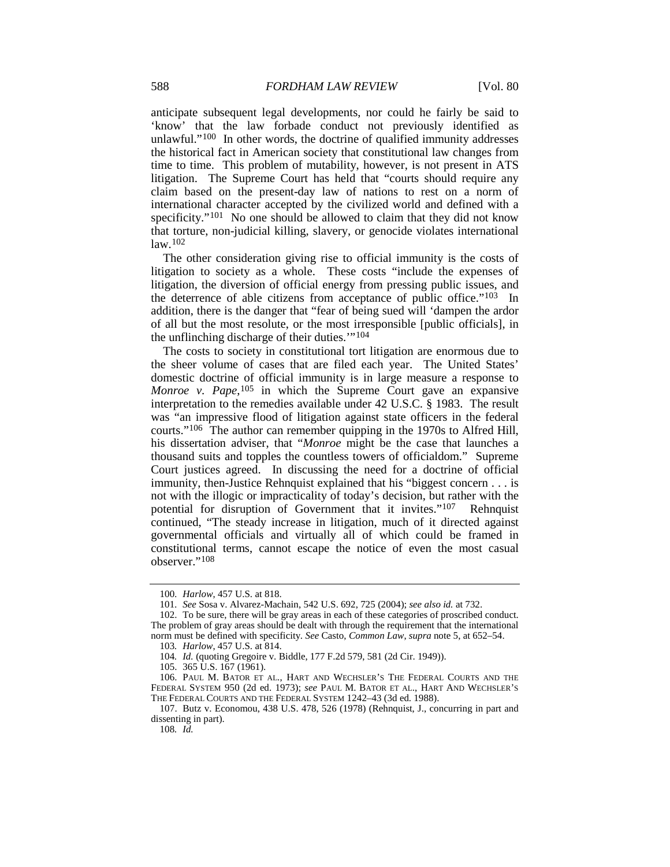anticipate subsequent legal developments, nor could he fairly be said to 'know' that the law forbade conduct not previously identified as unlawful."[100](#page-16-2) In other words, the doctrine of qualified immunity addresses the historical fact in American society that constitutional law changes from time to time. This problem of mutability, however, is not present in ATS litigation. The Supreme Court has held that "courts should require any claim based on the present-day law of nations to rest on a norm of international character accepted by the civilized world and defined with a specificity."<sup>[101](#page-16-3)</sup> No one should be allowed to claim that they did not know that torture, non-judicial killing, slavery, or genocide violates international  $law<sub>102</sub>$  $law<sub>102</sub>$  $law<sub>102</sub>$ 

<span id="page-16-1"></span>The other consideration giving rise to official immunity is the costs of litigation to society as a whole. These costs "include the expenses of litigation, the diversion of official energy from pressing public issues, and the deterrence of able citizens from acceptance of public office."<sup>[103](#page-16-5)</sup> In addition, there is the danger that "fear of being sued will 'dampen the ardor of all but the most resolute, or the most irresponsible [public officials], in the unflinching discharge of their duties.'"[104](#page-16-6)

The costs to society in constitutional tort litigation are enormous due to the sheer volume of cases that are filed each year. The United States' domestic doctrine of official immunity is in large measure a response to *Monroe v. Pape*,<sup>[105](#page-16-7)</sup> in which the Supreme Court gave an expansive interpretation to the remedies available under 42 U.S.C. § 1983. The result was "an impressive flood of litigation against state officers in the federal courts."[106](#page-16-8) The author can remember quipping in the 1970s to Alfred Hill, his dissertation adviser, that "*Monroe* might be the case that launches a thousand suits and topples the countless towers of officialdom." Supreme Court justices agreed. In discussing the need for a doctrine of official immunity, then-Justice Rehnquist explained that his "biggest concern . . . is not with the illogic or impracticality of today's decision, but rather with the potential for disruption of Government that it invites."[107](#page-16-9) Rehnquist continued, "The steady increase in litigation, much of it directed against governmental officials and virtually all of which could be framed in constitutional terms, cannot escape the notice of even the most casual observer."[108](#page-16-10)

108*. Id.*

<span id="page-16-0"></span><sup>100</sup>*. Harlow*, 457 U.S. at 818.

<sup>101</sup>*. See* Sosa v. Alvarez-Machain, 542 U.S. 692, 725 (2004); *see also id.* at 732.

<span id="page-16-5"></span><span id="page-16-4"></span><span id="page-16-3"></span><span id="page-16-2"></span><sup>102.</sup> To be sure, there will be gray areas in each of these categories of proscribed conduct. The problem of gray areas should be dealt with through the requirement that the international norm must be defined with specificity. *See* Casto, *Common Law*, *supra* not[e 5,](#page-1-6) at 652–54.

<sup>103</sup>*. Harlow*, 457 U.S. at 814.

<sup>104</sup>*. Id.* (quoting Gregoire v. Biddle, 177 F.2d 579, 581 (2d Cir. 1949)).

<sup>105.</sup> 365 U.S. 167 (1961).

<span id="page-16-8"></span><span id="page-16-7"></span><span id="page-16-6"></span><sup>106.</sup> PAUL M. BATOR ET AL., HART AND WECHSLER'S THE FEDERAL COURTS AND THE FEDERAL SYSTEM 950 (2d ed. 1973); *see* PAUL M. BATOR ET AL., HART AND WECHSLER'S THE FEDERAL COURTS AND THE FEDERAL SYSTEM 1242–43 (3d ed. 1988).

<span id="page-16-10"></span><span id="page-16-9"></span><sup>107.</sup> Butz v. Economou, 438 U.S. 478, 526 (1978) (Rehnquist, J., concurring in part and dissenting in part).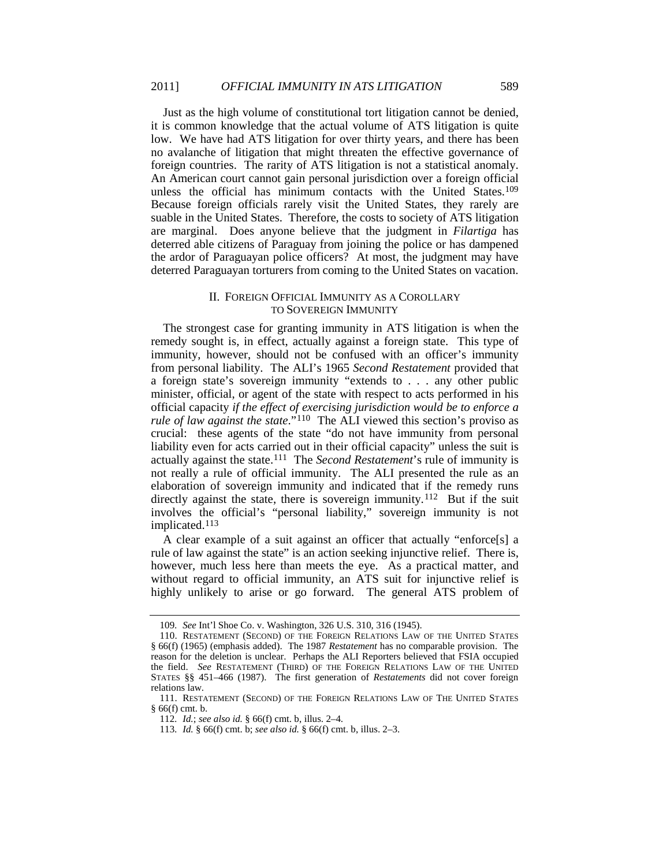Just as the high volume of constitutional tort litigation cannot be denied, it is common knowledge that the actual volume of ATS litigation is quite low. We have had ATS litigation for over thirty years, and there has been no avalanche of litigation that might threaten the effective governance of foreign countries. The rarity of ATS litigation is not a statistical anomaly. An American court cannot gain personal jurisdiction over a foreign official unless the official has minimum contacts with the United States.[109](#page-17-2) Because foreign officials rarely visit the United States, they rarely are suable in the United States. Therefore, the costs to society of ATS litigation are marginal. Does anyone believe that the judgment in *Filartiga* has deterred able citizens of Paraguay from joining the police or has dampened the ardor of Paraguayan police officers? At most, the judgment may have deterred Paraguayan torturers from coming to the United States on vacation.

# <span id="page-17-0"></span>II. FOREIGN OFFICIAL IMMUNITY AS A COROLLARY TO SOVEREIGN IMMUNITY

The strongest case for granting immunity in ATS litigation is when the remedy sought is, in effect, actually against a foreign state. This type of immunity, however, should not be confused with an officer's immunity from personal liability. The ALI's 1965 *Second Restatement* provided that a foreign state's sovereign immunity "extends to . . . any other public minister, official, or agent of the state with respect to acts performed in his official capacity *if the effect of exercising jurisdiction would be to enforce a rule of law against the state*."<sup>110</sup> The ALI viewed this section's proviso as crucial: these agents of the state "do not have immunity from personal liability even for acts carried out in their official capacity" unless the suit is actually against the state.[111](#page-17-4) The *Second Restatement*'s rule of immunity is not really a rule of official immunity. The ALI presented the rule as an elaboration of sovereign immunity and indicated that if the remedy runs directly against the state, there is sovereign immunity.<sup>[112](#page-17-5)</sup> But if the suit involves the official's "personal liability," sovereign immunity is not implicated.[113](#page-17-6)

<span id="page-17-1"></span>A clear example of a suit against an officer that actually "enforce[s] a rule of law against the state" is an action seeking injunctive relief. There is, however, much less here than meets the eye. As a practical matter, and without regard to official immunity, an ATS suit for injunctive relief is highly unlikely to arise or go forward. The general ATS problem of

<sup>109</sup>*. See* Int'l Shoe Co. v. Washington, 326 U.S. 310, 316 (1945).

<span id="page-17-3"></span><span id="page-17-2"></span><sup>110.</sup> RESTATEMENT (SECOND) OF THE FOREIGN RELATIONS LAW OF THE UNITED STATES § 66(f) (1965) (emphasis added). The 1987 *Restatement* has no comparable provision. The reason for the deletion is unclear. Perhaps the ALI Reporters believed that FSIA occupied the field. *See* RESTATEMENT (THIRD) OF THE FOREIGN RELATIONS LAW OF THE UNITED STATES §§ 451–466 (1987). The first generation of *Restatements* did not cover foreign relations law.

<span id="page-17-6"></span><span id="page-17-5"></span><span id="page-17-4"></span><sup>111.</sup> RESTATEMENT (SECOND) OF THE FOREIGN RELATIONS LAW OF THE UNITED STATES § 66(f) cmt. b.

<sup>112</sup>*. Id.*; *see also id.* § 66(f) cmt. b, illus. 2–4.

<sup>113</sup>*. Id.* § 66(f) cmt. b; *see also id.* § 66(f) cmt. b, illus. 2–3.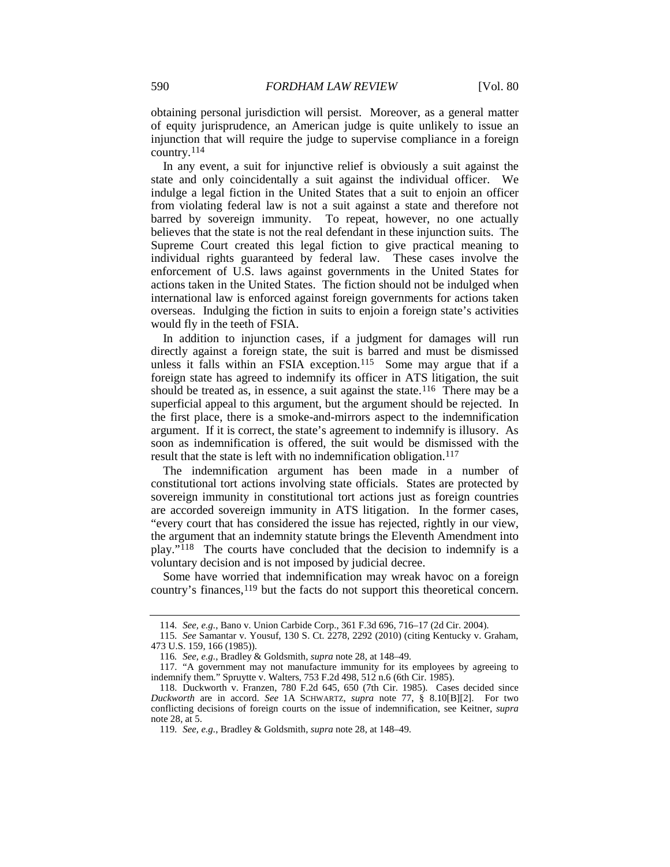obtaining personal jurisdiction will persist. Moreover, as a general matter of equity jurisprudence, an American judge is quite unlikely to issue an injunction that will require the judge to supervise compliance in a foreign country.[114](#page-18-0)

In any event, a suit for injunctive relief is obviously a suit against the state and only coincidentally a suit against the individual officer. We indulge a legal fiction in the United States that a suit to enjoin an officer from violating federal law is not a suit against a state and therefore not barred by sovereign immunity. To repeat, however, no one actually believes that the state is not the real defendant in these injunction suits. The Supreme Court created this legal fiction to give practical meaning to individual rights guaranteed by federal law. These cases involve the enforcement of U.S. laws against governments in the United States for actions taken in the United States. The fiction should not be indulged when international law is enforced against foreign governments for actions taken overseas. Indulging the fiction in suits to enjoin a foreign state's activities would fly in the teeth of FSIA.

<span id="page-18-6"></span>In addition to injunction cases, if a judgment for damages will run directly against a foreign state, the suit is barred and must be dismissed unless it falls within an FSIA exception.<sup>115</sup> Some may argue that if a foreign state has agreed to indemnify its officer in ATS litigation, the suit should be treated as, in essence, a suit against the state.<sup>[116](#page-18-2)</sup> There may be a superficial appeal to this argument, but the argument should be rejected. In the first place, there is a smoke-and-mirrors aspect to the indemnification argument. If it is correct, the state's agreement to indemnify is illusory. As soon as indemnification is offered, the suit would be dismissed with the result that the state is left with no indemnification obligation.<sup>117</sup>

The indemnification argument has been made in a number of constitutional tort actions involving state officials. States are protected by sovereign immunity in constitutional tort actions just as foreign countries are accorded sovereign immunity in ATS litigation. In the former cases, "every court that has considered the issue has rejected, rightly in our view, the argument that an indemnity statute brings the Eleventh Amendment into play."[118](#page-18-4) The courts have concluded that the decision to indemnify is a voluntary decision and is not imposed by judicial decree.

Some have worried that indemnification may wreak havoc on a foreign country's finances, [119](#page-18-5) but the facts do not support this theoretical concern.

<sup>114</sup>*. See, e.g.*, Bano v. Union Carbide Corp., 361 F.3d 696, 716–17 (2d Cir. 2004).

<span id="page-18-1"></span><span id="page-18-0"></span><sup>115</sup>*. See* Samantar v. Yousuf, 130 S. Ct. 2278, 2292 (2010) (citing Kentucky v. Graham, 473 U.S. 159, 166 (1985)).

<sup>116</sup>*. See, e.g.*, Bradley & Goldsmith, *supra* not[e 28,](#page-4-7) at 148–49.

<span id="page-18-3"></span><span id="page-18-2"></span><sup>117.</sup> "A government may not manufacture immunity for its employees by agreeing to indemnify them." Spruytte v. Walters, 753 F.2d 498, 512 n.6 (6th Cir. 1985).

<span id="page-18-5"></span><span id="page-18-4"></span><sup>118.</sup> Duckworth v. Franzen, 780 F.2d 645, 650 (7th Cir. 1985). Cases decided since *Duckworth* are in accord. *See* 1A SCHWARTZ, *supra* note [77,](#page-11-0) § 8.10[B][2]. For two conflicting decisions of foreign courts on the issue of indemnification, see Keitner, *supra* not[e 28,](#page-4-7) at 5.

<sup>119</sup>*. See, e.g.*, Bradley & Goldsmith, *supra* not[e 28,](#page-4-7) at 148–49.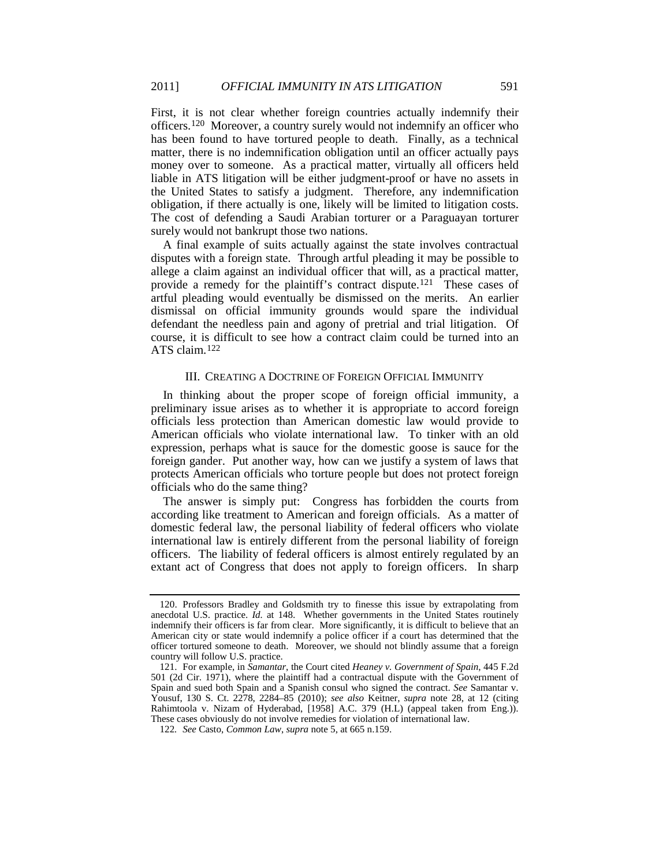<span id="page-19-3"></span>First, it is not clear whether foreign countries actually indemnify their officers.[120](#page-19-0) Moreover, a country surely would not indemnify an officer who has been found to have tortured people to death. Finally, as a technical matter, there is no indemnification obligation until an officer actually pays money over to someone. As a practical matter, virtually all officers held liable in ATS litigation will be either judgment-proof or have no assets in the United States to satisfy a judgment. Therefore, any indemnification obligation, if there actually is one, likely will be limited to litigation costs. The cost of defending a Saudi Arabian torturer or a Paraguayan torturer surely would not bankrupt those two nations.

A final example of suits actually against the state involves contractual disputes with a foreign state. Through artful pleading it may be possible to allege a claim against an individual officer that will, as a practical matter, provide a remedy for the plaintiff's contract dispute.<sup>[121](#page-19-1)</sup> These cases of artful pleading would eventually be dismissed on the merits. An earlier dismissal on official immunity grounds would spare the individual defendant the needless pain and agony of pretrial and trial litigation. Of course, it is difficult to see how a contract claim could be turned into an ATS claim.[122](#page-19-2)

# III. CREATING A DOCTRINE OF FOREIGN OFFICIAL IMMUNITY

In thinking about the proper scope of foreign official immunity, a preliminary issue arises as to whether it is appropriate to accord foreign officials less protection than American domestic law would provide to American officials who violate international law. To tinker with an old expression, perhaps what is sauce for the domestic goose is sauce for the foreign gander. Put another way, how can we justify a system of laws that protects American officials who torture people but does not protect foreign officials who do the same thing?

The answer is simply put: Congress has forbidden the courts from according like treatment to American and foreign officials. As a matter of domestic federal law, the personal liability of federal officers who violate international law is entirely different from the personal liability of foreign officers. The liability of federal officers is almost entirely regulated by an extant act of Congress that does not apply to foreign officers. In sharp

<span id="page-19-0"></span><sup>120.</sup> Professors Bradley and Goldsmith try to finesse this issue by extrapolating from anecdotal U.S. practice. *Id.* at 148. Whether governments in the United States routinely indemnify their officers is far from clear. More significantly, it is difficult to believe that an American city or state would indemnify a police officer if a court has determined that the officer tortured someone to death. Moreover, we should not blindly assume that a foreign country will follow U.S. practice.

<span id="page-19-1"></span><sup>121.</sup> For example, in *Samantar*, the Court cited *Heaney v. Government of Spain*, 445 F.2d 501 (2d Cir. 1971), where the plaintiff had a contractual dispute with the Government of Spain and sued both Spain and a Spanish consul who signed the contract. *See* Samantar v. Yousuf, 130 S. Ct. 2278, 2284–85 (2010); *see also* Keitner, *supra* note [28,](#page-4-7) at 12 (citing Rahimtoola v. Nizam of Hyderabad, [1958] A.C. 379 (H.L) (appeal taken from Eng.)). These cases obviously do not involve remedies for violation of international law.

<span id="page-19-2"></span><sup>122</sup>*. See* Casto, *Common Law*, *supra* note [5,](#page-1-6) at 665 n.159.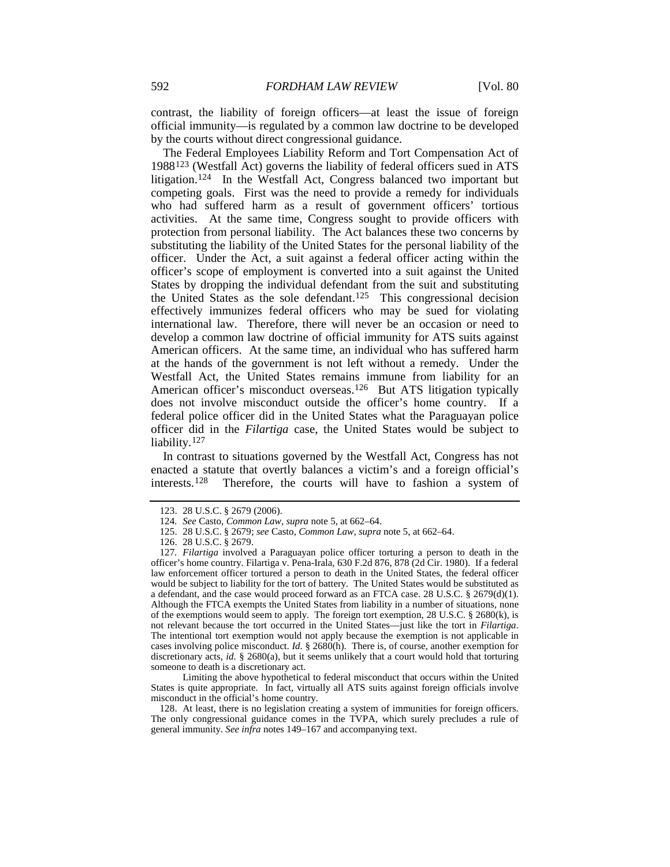contrast, the liability of foreign officers—at least the issue of foreign official immunity—is regulated by a common law doctrine to be developed by the courts without direct congressional guidance.

<span id="page-20-0"></span>The Federal Employees Liability Reform and Tort Compensation Act of 1988[123](#page-20-1) (Westfall Act) governs the liability of federal officers sued in ATS litigation.[124](#page-20-2) In the Westfall Act, Congress balanced two important but competing goals. First was the need to provide a remedy for individuals who had suffered harm as a result of government officers' tortious activities. At the same time, Congress sought to provide officers with protection from personal liability. The Act balances these two concerns by substituting the liability of the United States for the personal liability of the officer. Under the Act, a suit against a federal officer acting within the officer's scope of employment is converted into a suit against the United States by dropping the individual defendant from the suit and substituting the United States as the sole defendant.<sup>[125](#page-20-3)</sup> This congressional decision effectively immunizes federal officers who may be sued for violating international law. Therefore, there will never be an occasion or need to develop a common law doctrine of official immunity for ATS suits against American officers. At the same time, an individual who has suffered harm at the hands of the government is not left without a remedy. Under the Westfall Act, the United States remains immune from liability for an American officer's misconduct overseas.<sup>[126](#page-20-4)</sup> But ATS litigation typically does not involve misconduct outside the officer's home country. If a federal police officer did in the United States what the Paraguayan police officer did in the *Filartiga* case, the United States would be subject to liability.<sup>[127](#page-20-5)</sup>

In contrast to situations governed by the Westfall Act, Congress has not enacted a statute that overtly balances a victim's and a foreign official's interests.[128](#page-20-6) Therefore, the courts will have to fashion a system of

Limiting the above hypothetical to federal misconduct that occurs within the United States is quite appropriate. In fact, virtually all ATS suits against foreign officials involve misconduct in the official's home country.

<span id="page-20-6"></span>128. At least, there is no legislation creating a system of immunities for foreign officers. The only congressional guidance comes in the TVPA, which surely precludes a rule of general immunity. *See infra* notes [149–](#page-24-0)[167](#page-27-0) and accompanying text.

<sup>123.</sup> 28 U.S.C. § 2679 (2006).

<sup>124</sup>*. See* Casto, *Common Law*, *supra* note [5,](#page-1-6) at 662–64.

<sup>125.</sup> 28 U.S.C. § 2679; *see* Casto, *Common Law*, *supra* not[e 5,](#page-1-6) at 662–64.

<sup>126.</sup> 28 U.S.C. § 2679.

<span id="page-20-5"></span><span id="page-20-4"></span><span id="page-20-3"></span><span id="page-20-2"></span><span id="page-20-1"></span><sup>127</sup>*. Filartiga* involved a Paraguayan police officer torturing a person to death in the officer's home country. Filartiga v. Pena-Irala, 630 F.2d 876, 878 (2d Cir. 1980). If a federal law enforcement officer tortured a person to death in the United States, the federal officer would be subject to liability for the tort of battery. The United States would be substituted as a defendant, and the case would proceed forward as an FTCA case. 28 U.S.C. § 2679(d)(1). Although the FTCA exempts the United States from liability in a number of situations, none of the exemptions would seem to apply. The foreign tort exemption, 28 U.S.C. § 2680(k), is not relevant because the tort occurred in the United States—just like the tort in *Filartiga*. The intentional tort exemption would not apply because the exemption is not applicable in cases involving police misconduct. *Id.* § 2680(h). There is, of course, another exemption for discretionary acts, *id.* § 2680(a), but it seems unlikely that a court would hold that torturing someone to death is a discretionary act.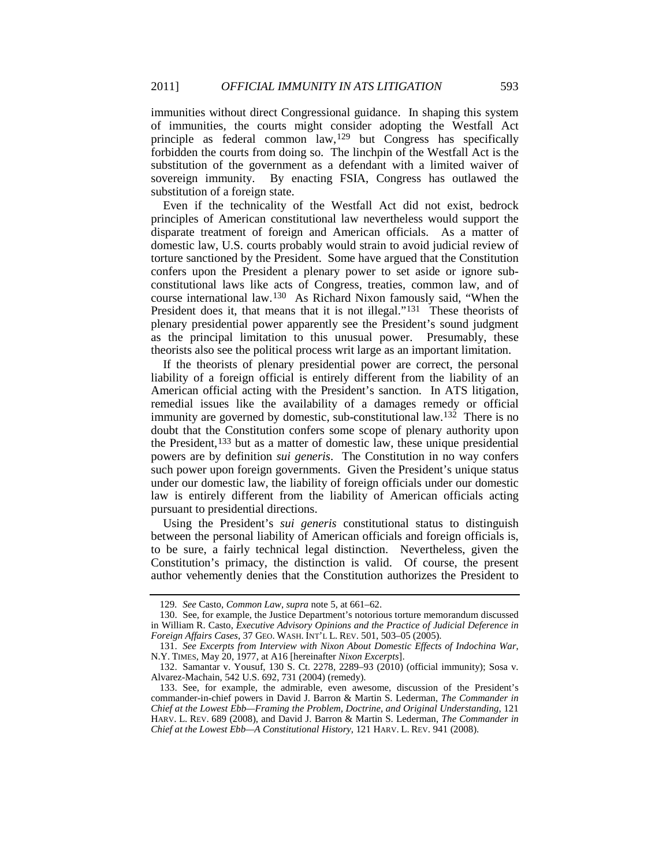immunities without direct Congressional guidance. In shaping this system of immunities, the courts might consider adopting the Westfall Act principle as federal common law,<sup>[129](#page-21-0)</sup> but Congress has specifically forbidden the courts from doing so. The linchpin of the Westfall Act is the substitution of the government as a defendant with a limited waiver of sovereign immunity. By enacting FSIA, Congress has outlawed the substitution of a foreign state.

Even if the technicality of the Westfall Act did not exist, bedrock principles of American constitutional law nevertheless would support the disparate treatment of foreign and American officials. As a matter of domestic law, U.S. courts probably would strain to avoid judicial review of torture sanctioned by the President. Some have argued that the Constitution confers upon the President a plenary power to set aside or ignore subconstitutional laws like acts of Congress, treaties, common law, and of course international law. [130](#page-21-1) As Richard Nixon famously said, "When the President does it, that means that it is not illegal."<sup>[131](#page-21-2)</sup> These theorists of plenary presidential power apparently see the President's sound judgment as the principal limitation to this unusual power. Presumably, these theorists also see the political process writ large as an important limitation.

<span id="page-21-5"></span>If the theorists of plenary presidential power are correct, the personal liability of a foreign official is entirely different from the liability of an American official acting with the President's sanction. In ATS litigation, remedial issues like the availability of a damages remedy or official immunity are governed by domestic, sub-constitutional law.<sup>132</sup> There is no doubt that the Constitution confers some scope of plenary authority upon the President,<sup>[133](#page-21-4)</sup> but as a matter of domestic law, these unique presidential powers are by definition *sui generis*. The Constitution in no way confers such power upon foreign governments. Given the President's unique status under our domestic law, the liability of foreign officials under our domestic law is entirely different from the liability of American officials acting pursuant to presidential directions.

Using the President's *sui generis* constitutional status to distinguish between the personal liability of American officials and foreign officials is, to be sure, a fairly technical legal distinction. Nevertheless, given the Constitution's primacy, the distinction is valid. Of course, the present author vehemently denies that the Constitution authorizes the President to

<sup>129</sup>*. See* Casto, *Common Law*, *supra* note [5,](#page-1-6) at 661–62.

<span id="page-21-1"></span><span id="page-21-0"></span><sup>130.</sup> See, for example, the Justice Department's notorious torture memorandum discussed in William R. Casto, *Executive Advisory Opinions and the Practice of Judicial Deference in Foreign Affairs Cases*, 37 GEO. WASH. INT'L L. REV. 501, 503–05 (2005).

<span id="page-21-2"></span><sup>131.</sup> *See Excerpts from Interview with Nixon About Domestic Effects of Indochina War*, N.Y. TIMES, May 20, 1977, at A16 [hereinafter *Nixon Excerpts*].

<span id="page-21-3"></span><sup>132.</sup> Samantar v. Yousuf, 130 S. Ct. 2278, 2289–93 (2010) (official immunity); Sosa v. Alvarez-Machain, 542 U.S. 692, 731 (2004) (remedy).

<span id="page-21-4"></span><sup>133.</sup> See, for example, the admirable, even awesome, discussion of the President's commander-in-chief powers in David J. Barron & Martin S. Lederman, *The Commander in Chief at the Lowest Ebb—Framing the Problem, Doctrine, and Original Understanding*, 121 HARV. L. REV. 689 (2008), and David J. Barron & Martin S. Lederman, *The Commander in Chief at the Lowest Ebb—A Constitutional History*, 121 HARV. L. REV. 941 (2008).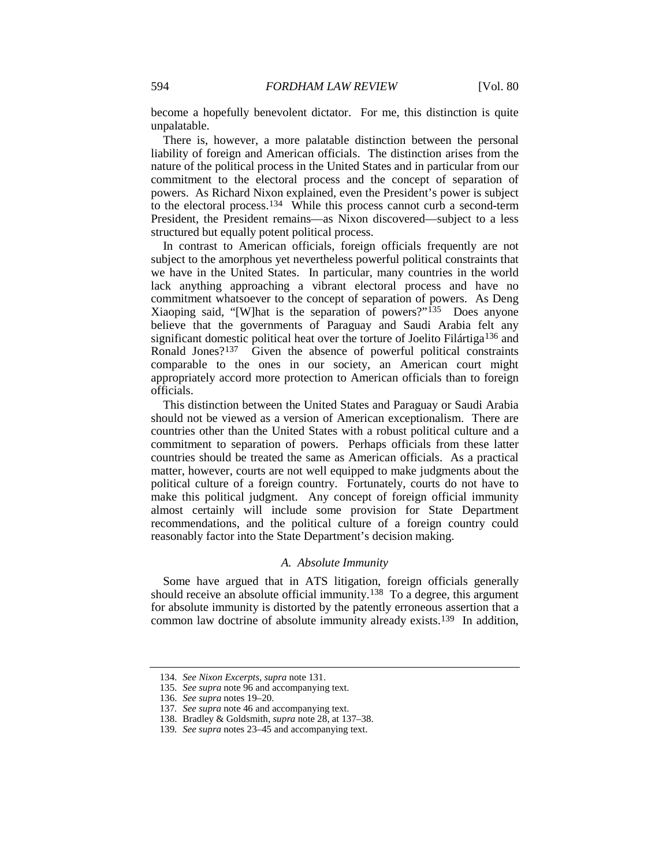become a hopefully benevolent dictator. For me, this distinction is quite unpalatable.

There is, however, a more palatable distinction between the personal liability of foreign and American officials. The distinction arises from the nature of the political process in the United States and in particular from our commitment to the electoral process and the concept of separation of powers. As Richard Nixon explained, even the President's power is subject to the electoral process.[134](#page-22-1) While this process cannot curb a second-term President, the President remains—as Nixon discovered—subject to a less structured but equally potent political process.

In contrast to American officials, foreign officials frequently are not subject to the amorphous yet nevertheless powerful political constraints that we have in the United States. In particular, many countries in the world lack anything approaching a vibrant electoral process and have no commitment whatsoever to the concept of separation of powers. As Deng Xiaoping said, "[W]hat is the separation of powers?" [135](#page-22-2) Does anyone believe that the governments of Paraguay and Saudi Arabia felt any significant domestic political heat over the torture of Joelito Filártiga[136](#page-22-3) and Ronald Jones?<sup>[137](#page-22-4)</sup> Given the absence of powerful political constraints comparable to the ones in our society, an American court might appropriately accord more protection to American officials than to foreign officials.

<span id="page-22-0"></span>This distinction between the United States and Paraguay or Saudi Arabia should not be viewed as a version of American exceptionalism. There are countries other than the United States with a robust political culture and a commitment to separation of powers. Perhaps officials from these latter countries should be treated the same as American officials. As a practical matter, however, courts are not well equipped to make judgments about the political culture of a foreign country. Fortunately, courts do not have to make this political judgment. Any concept of foreign official immunity almost certainly will include some provision for State Department recommendations, and the political culture of a foreign country could reasonably factor into the State Department's decision making.

#### *A. Absolute Immunity*

Some have argued that in ATS litigation, foreign officials generally should receive an absolute official immunity.<sup>138</sup> To a degree, this argument for absolute immunity is distorted by the patently erroneous assertion that a common law doctrine of absolute immunity already exists.<sup>[139](#page-22-6)</sup> In addition,

<span id="page-22-2"></span><span id="page-22-1"></span><sup>134</sup>*. See Nixon Excerpts*, *supra* note [131.](#page-21-5)

<sup>135</sup>*. See supra* not[e 96](#page-15-6) and accompanying text.

<span id="page-22-3"></span><sup>136.</sup> *See supra* note[s 19](#page-3-11)[–20.](#page-3-12)

<span id="page-22-4"></span><sup>137</sup>*. See supra* not[e 46](#page-7-8) and accompanying text.

<sup>138.</sup> Bradley & Goldsmith, *supra* note [28,](#page-4-7) at 137–38.

<span id="page-22-6"></span><span id="page-22-5"></span><sup>139</sup>*. See supra* note[s 23](#page-3-0)[–45](#page-7-0) and accompanying text.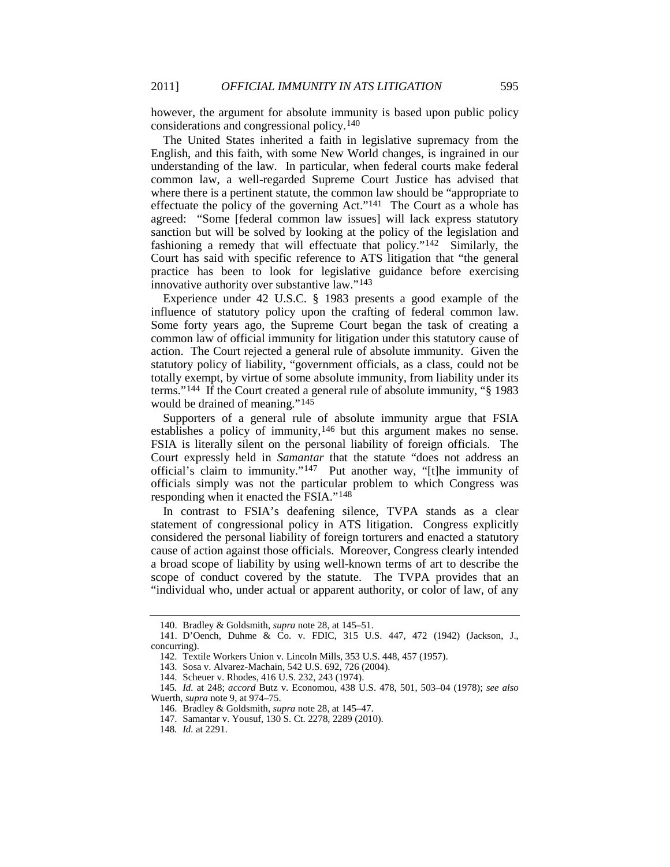however, the argument for absolute immunity is based upon public policy considerations and congressional policy.[140](#page-23-0)

The United States inherited a faith in legislative supremacy from the English, and this faith, with some New World changes, is ingrained in our understanding of the law. In particular, when federal courts make federal common law, a well-regarded Supreme Court Justice has advised that where there is a pertinent statute, the common law should be "appropriate to effectuate the policy of the governing Act."[141](#page-23-1) The Court as a whole has agreed: "Some [federal common law issues] will lack express statutory sanction but will be solved by looking at the policy of the legislation and fashioning a remedy that will effectuate that policy."[142](#page-23-2) Similarly, the Court has said with specific reference to ATS litigation that "the general practice has been to look for legislative guidance before exercising innovative authority over substantive law."[143](#page-23-3)

Experience under 42 U.S.C. § 1983 presents a good example of the influence of statutory policy upon the crafting of federal common law. Some forty years ago, the Supreme Court began the task of creating a common law of official immunity for litigation under this statutory cause of action. The Court rejected a general rule of absolute immunity. Given the statutory policy of liability, "government officials, as a class, could not be totally exempt, by virtue of some absolute immunity, from liability under its terms."[144](#page-23-4) If the Court created a general rule of absolute immunity, "§ 1983 would be drained of meaning."<sup>[145](#page-23-5)</sup>

Supporters of a general rule of absolute immunity argue that FSIA establishes a policy of immunity,<sup>[146](#page-23-6)</sup> but this argument makes no sense. FSIA is literally silent on the personal liability of foreign officials. The Court expressly held in *Samantar* that the statute "does not address an official's claim to immunity."[147](#page-23-7) Put another way, "[t]he immunity of officials simply was not the particular problem to which Congress was responding when it enacted the FSIA."[148](#page-23-8)

In contrast to FSIA's deafening silence, TVPA stands as a clear statement of congressional policy in ATS litigation. Congress explicitly considered the personal liability of foreign torturers and enacted a statutory cause of action against those officials. Moreover, Congress clearly intended a broad scope of liability by using well-known terms of art to describe the scope of conduct covered by the statute. The TVPA provides that an "individual who, under actual or apparent authority, or color of law, of any

<sup>140.</sup> Bradley & Goldsmith, *supra* note [28,](#page-4-7) at 145–51.

<span id="page-23-2"></span><span id="page-23-1"></span><span id="page-23-0"></span><sup>141.</sup> D'Oench, Duhme & Co. v. FDIC, 315 U.S. 447, 472 (1942) (Jackson, J., concurring).

<sup>142.</sup> Textile Workers Union v. Lincoln Mills, 353 U.S. 448, 457 (1957).

<sup>143.</sup> Sosa v. Alvarez-Machain, 542 U.S. 692, 726 (2004).

<sup>144.</sup> Scheuer v. Rhodes, 416 U.S. 232, 243 (1974).

<span id="page-23-8"></span><span id="page-23-7"></span><span id="page-23-6"></span><span id="page-23-5"></span><span id="page-23-4"></span><span id="page-23-3"></span><sup>145</sup>*. Id.* at 248; *accord* Butz v. Economou, 438 U.S. 478, 501, 503–04 (1978); *see also* Wuerth, *supra* note [9,](#page-2-10) at 974–75.

<sup>146.</sup> Bradley & Goldsmith, *supra* note [28,](#page-4-7) at 145–47.

<sup>147.</sup> Samantar v. Yousuf, 130 S. Ct. 2278, 2289 (2010).

<sup>148</sup>*. Id.* at 2291.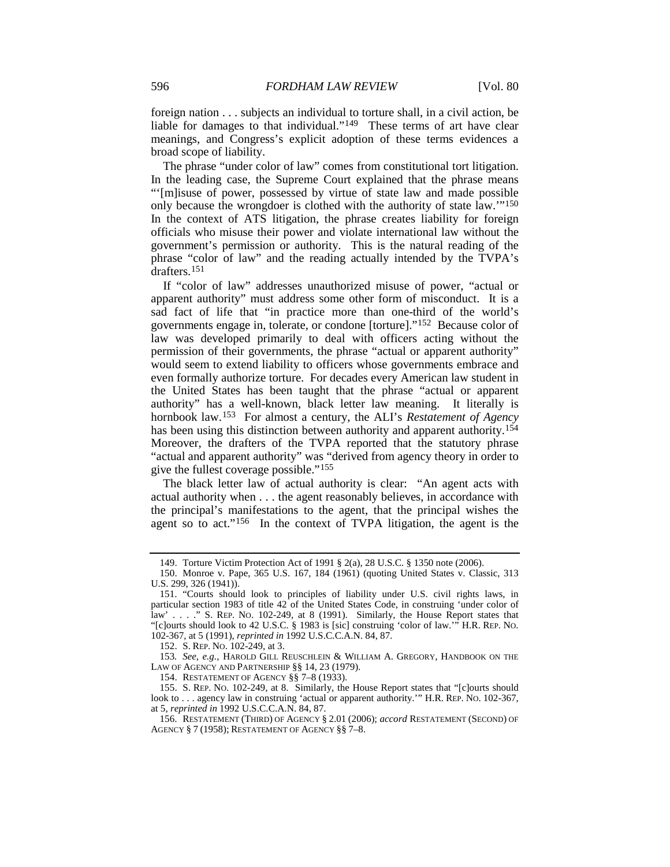<span id="page-24-0"></span>foreign nation . . . subjects an individual to torture shall, in a civil action, be liable for damages to that individual."<sup>[149](#page-24-1)</sup> These terms of art have clear meanings, and Congress's explicit adoption of these terms evidences a broad scope of liability.

The phrase "under color of law" comes from constitutional tort litigation. In the leading case, the Supreme Court explained that the phrase means "'[m]isuse of power, possessed by virtue of state law and made possible only because the wrongdoer is clothed with the authority of state law.'" [150](#page-24-2) In the context of ATS litigation, the phrase creates liability for foreign officials who misuse their power and violate international law without the government's permission or authority. This is the natural reading of the phrase "color of law" and the reading actually intended by the TVPA's drafters.[151](#page-24-3)

<span id="page-24-9"></span>If "color of law" addresses unauthorized misuse of power, "actual or apparent authority" must address some other form of misconduct. It is a sad fact of life that "in practice more than one-third of the world's governments engage in, tolerate, or condone [torture]."[152](#page-24-4) Because color of law was developed primarily to deal with officers acting without the permission of their governments, the phrase "actual or apparent authority" would seem to extend liability to officers whose governments embrace and even formally authorize torture. For decades every American law student in the United States has been taught that the phrase "actual or apparent authority" has a well-known, black letter law meaning. It literally is hornbook law.[153](#page-24-5) For almost a century, the ALI's *Restatement of Agency* has been using this distinction between authority and apparent authority.<sup>[154](#page-24-6)</sup> Moreover, the drafters of the TVPA reported that the statutory phrase "actual and apparent authority" was "derived from agency theory in order to give the fullest coverage possible."[155](#page-24-7)

<span id="page-24-10"></span>The black letter law of actual authority is clear: "An agent acts with actual authority when . . . the agent reasonably believes, in accordance with the principal's manifestations to the agent, that the principal wishes the agent so to act."<sup>[156](#page-24-8)</sup> In the context of TVPA litigation, the agent is the

152. S. REP. NO. 102-249, at 3.

<span id="page-24-5"></span><span id="page-24-4"></span>153*. See, e.g.*, HAROLD GILL REUSCHLEIN & WILLIAM A. GREGORY, HANDBOOK ON THE LAW OF AGENCY AND PARTNERSHIP §§ 14, 23 (1979).

154. RESTATEMENT OF AGENCY §§ 7–8 (1933).

<span id="page-24-7"></span><span id="page-24-6"></span>155. S. REP. NO. 102-249, at 8. Similarly, the House Report states that "[c]ourts should look to . . . agency law in construing 'actual or apparent authority.'" H.R. REP. No. 102-367, at 5, *reprinted in* 1992 U.S.C.C.A.N. 84, 87.

<sup>149.</sup> Torture Victim Protection Act of 1991 § 2(a), 28 U.S.C. § 1350 note (2006).

<span id="page-24-2"></span><span id="page-24-1"></span><sup>150.</sup> Monroe v. Pape, 365 U.S. 167, 184 (1961) (quoting United States v. Classic, 313 U.S. 299, 326 (1941)).

<span id="page-24-3"></span><sup>151.</sup> "Courts should look to principles of liability under U.S. civil rights laws, in particular section 1983 of title 42 of the United States Code, in construing 'under color of law' . . . ." S. REP. NO. 102-249, at 8 (1991). Similarly, the House Report states that "[c]ourts should look to 42 U.S.C. § 1983 is [sic] construing 'color of law.'" H.R. REP. NO. 102-367, at 5 (1991), *reprinted in* 1992 U.S.C.C.A.N. 84, 87.

<span id="page-24-8"></span><sup>156.</sup> RESTATEMENT (THIRD) OF AGENCY § 2.01 (2006); *accord* RESTATEMENT (SECOND) OF AGENCY § 7 (1958); RESTATEMENT OF AGENCY §§ 7–8.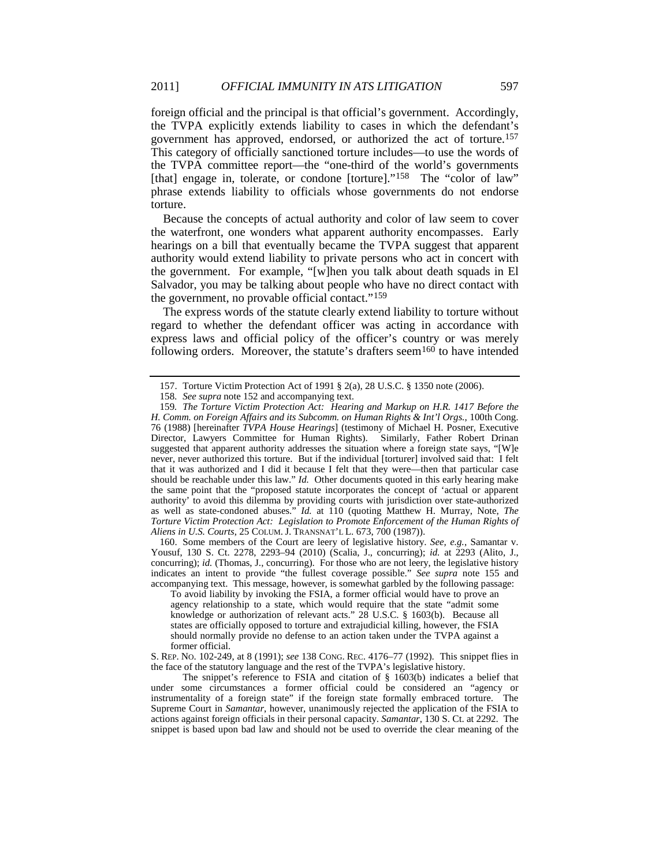foreign official and the principal is that official's government. Accordingly, the TVPA explicitly extends liability to cases in which the defendant's government has approved, endorsed, or authorized the act of torture.[157](#page-25-0) This category of officially sanctioned torture includes—to use the words of the TVPA committee report—the "one-third of the world's governments [that] engage in, tolerate, or condone [torture]."<sup>[158](#page-25-1)</sup> The "color of law" phrase extends liability to officials whose governments do not endorse torture.

Because the concepts of actual authority and color of law seem to cover the waterfront, one wonders what apparent authority encompasses. Early hearings on a bill that eventually became the TVPA suggest that apparent authority would extend liability to private persons who act in concert with the government. For example, "[w]hen you talk about death squads in El Salvador, you may be talking about people who have no direct contact with the government, no provable official contact." [159](#page-25-2)

<span id="page-25-4"></span>The express words of the statute clearly extend liability to torture without regard to whether the defendant officer was acting in accordance with express laws and official policy of the officer's country or was merely following orders. Moreover, the statute's drafters seem<sup>[160](#page-25-3)</sup> to have intended

<span id="page-25-3"></span>160. Some members of the Court are leery of legislative history. *See, e.g.*, Samantar v. Yousuf, 130 S. Ct. 2278, 2293-94 (2010) (Scalia, J., concurring); *id.* at 2293 (Alito, J., concurring); *id.* (Thomas, J., concurring). For those who are not leery, the legislative history indicates an intent to provide "the fullest coverage possible." *See supra* note [155](#page-24-10) and accompanying text. This message, however, is somewhat garbled by the following passage:

To avoid liability by invoking the FSIA, a former official would have to prove an agency relationship to a state, which would require that the state "admit some knowledge or authorization of relevant acts." 28 U.S.C. § 1603(b). Because all states are officially opposed to torture and extrajudicial killing, however, the FSIA should normally provide no defense to an action taken under the TVPA against a former official.

S. REP. NO. 102-249, at 8 (1991); *see* 138 CONG. REC. 4176–77 (1992). This snippet flies in the face of the statutory language and the rest of the TVPA's legislative history.

The snippet's reference to FSIA and citation of § 1603(b) indicates a belief that under some circumstances a former official could be considered an "agency or instrumentality of a foreign state" if the foreign state formally embraced torture. The Supreme Court in *Samantar*, however, unanimously rejected the application of the FSIA to actions against foreign officials in their personal capacity. *Samantar*, 130 S. Ct. at 2292. The snippet is based upon bad law and should not be used to override the clear meaning of the

<sup>157.</sup> Torture Victim Protection Act of 1991 § 2(a), 28 U.S.C. § 1350 note (2006).

<sup>158</sup>*. See supra* not[e 152](#page-24-9) and accompanying text.

<span id="page-25-2"></span><span id="page-25-1"></span><span id="page-25-0"></span><sup>159</sup>*. The Torture Victim Protection Act: Hearing and Markup on H.R. 1417 Before the H. Comm. on Foreign Affairs and its Subcomm. on Human Rights & Int'l Orgs.*, 100th Cong. 76 (1988) [hereinafter *TVPA House Hearings*] (testimony of Michael H. Posner, Executive Director, Lawyers Committee for Human Rights). Similarly, Father Robert Drinan suggested that apparent authority addresses the situation where a foreign state says, "[W]e never, never authorized this torture. But if the individual [torturer] involved said that: I felt that it was authorized and I did it because I felt that they were—then that particular case should be reachable under this law." *Id.* Other documents quoted in this early hearing make the same point that the "proposed statute incorporates the concept of 'actual or apparent authority' to avoid this dilemma by providing courts with jurisdiction over state-authorized as well as state-condoned abuses." *Id.* at 110 (quoting Matthew H. Murray, Note, *The Torture Victim Protection Act: Legislation to Promote Enforcement of the Human Rights of Aliens in U.S. Courts*, 25 COLUM. J. TRANSNAT'L L. 673, 700 (1987)).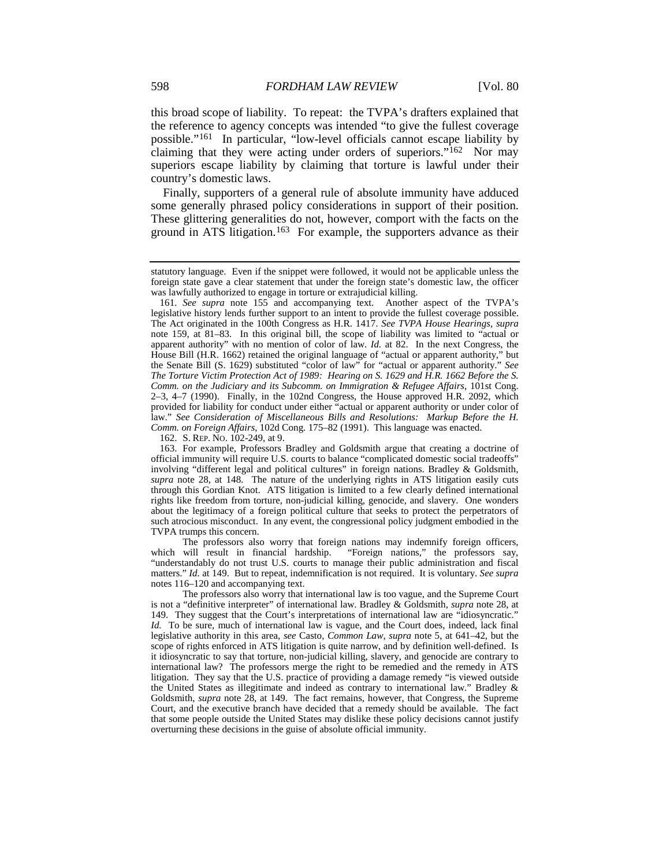<span id="page-26-0"></span>this broad scope of liability. To repeat: the TVPA's drafters explained that the reference to agency concepts was intended "to give the fullest coverage possible."[161](#page-26-1) In particular, "low-level officials cannot escape liability by claiming that they were acting under orders of superiors."<sup>[162](#page-26-2)</sup> Nor may superiors escape liability by claiming that torture is lawful under their country's domestic laws.

Finally, supporters of a general rule of absolute immunity have adduced some generally phrased policy considerations in support of their position. These glittering generalities do not, however, comport with the facts on the ground in ATS litigation. [163](#page-26-3) For example, the supporters advance as their

162. S. REP. NO. 102-249, at 9.

statutory language. Even if the snippet were followed, it would not be applicable unless the foreign state gave a clear statement that under the foreign state's domestic law, the officer was lawfully authorized to engage in torture or extrajudicial killing.

<span id="page-26-1"></span><sup>161</sup>*. See supra* note [155](#page-24-10) and accompanying text. Another aspect of the TVPA's legislative history lends further support to an intent to provide the fullest coverage possible. The Act originated in the 100th Congress as H.R. 1417. *See TVPA House Hearings*, *supra* note [159,](#page-25-4) at 81–83. In this original bill, the scope of liability was limited to "actual or apparent authority" with no mention of color of law. *Id.* at 82. In the next Congress, the House Bill (H.R. 1662) retained the original language of "actual or apparent authority," but the Senate Bill (S. 1629) substituted "color of law" for "actual or apparent authority." *See The Torture Victim Protection Act of 1989: Hearing on S. 1629 and H.R. 1662 Before the S. Comm. on the Judiciary and its Subcomm. on Immigration & Refugee Affairs*, 101st Cong. 2–3, 4–7 (1990). Finally, in the 102nd Congress, the House approved H.R. 2092, which provided for liability for conduct under either "actual or apparent authority or under color of law." *See Consideration of Miscellaneous Bills and Resolutions: Markup Before the H. Comm. on Foreign Affairs*, 102d Cong. 175–82 (1991). This language was enacted.

<span id="page-26-3"></span><span id="page-26-2"></span><sup>163.</sup> For example, Professors Bradley and Goldsmith argue that creating a doctrine of official immunity will require U.S. courts to balance "complicated domestic social tradeoffs" involving "different legal and political cultures" in foreign nations. Bradley & Goldsmith, *supra* note [28,](#page-4-7) at 148. The nature of the underlying rights in ATS litigation easily cuts through this Gordian Knot. ATS litigation is limited to a few clearly defined international rights like freedom from torture, non-judicial killing, genocide, and slavery. One wonders about the legitimacy of a foreign political culture that seeks to protect the perpetrators of such atrocious misconduct. In any event, the congressional policy judgment embodied in the TVPA trumps this concern.

The professors also worry that foreign nations may indemnify foreign officers, which will result in financial hardship. "Foreign nations," the professors say, "Foreign nations," the professors say, "understandably do not trust U.S. courts to manage their public administration and fiscal matters." *Id.* at 149. But to repeat, indemnification is not required. It is voluntary. *See supra* note[s 116](#page-18-6)[–120](#page-19-3) and accompanying text.

The professors also worry that international law is too vague, and the Supreme Court is not a "definitive interpreter" of international law. Bradley & Goldsmith, *supra* not[e 28,](#page-4-7) at 149. They suggest that the Court's interpretations of international law are "idiosyncratic." *Id.* To be sure, much of international law is vague, and the Court does, indeed, lack final legislative authority in this area, *see* Casto, *Common Law*, *supra* note [5,](#page-1-6) at 641–42, but the scope of rights enforced in ATS litigation is quite narrow, and by definition well-defined. Is it idiosyncratic to say that torture, non-judicial killing, slavery, and genocide are contrary to international law? The professors merge the right to be remedied and the remedy in ATS litigation. They say that the U.S. practice of providing a damage remedy "is viewed outside the United States as illegitimate and indeed as contrary to international law." Bradley & Goldsmith, *supra* note [28,](#page-4-7) at 149. The fact remains, however, that Congress, the Supreme Court, and the executive branch have decided that a remedy should be available. The fact that some people outside the United States may dislike these policy decisions cannot justify overturning these decisions in the guise of absolute official immunity.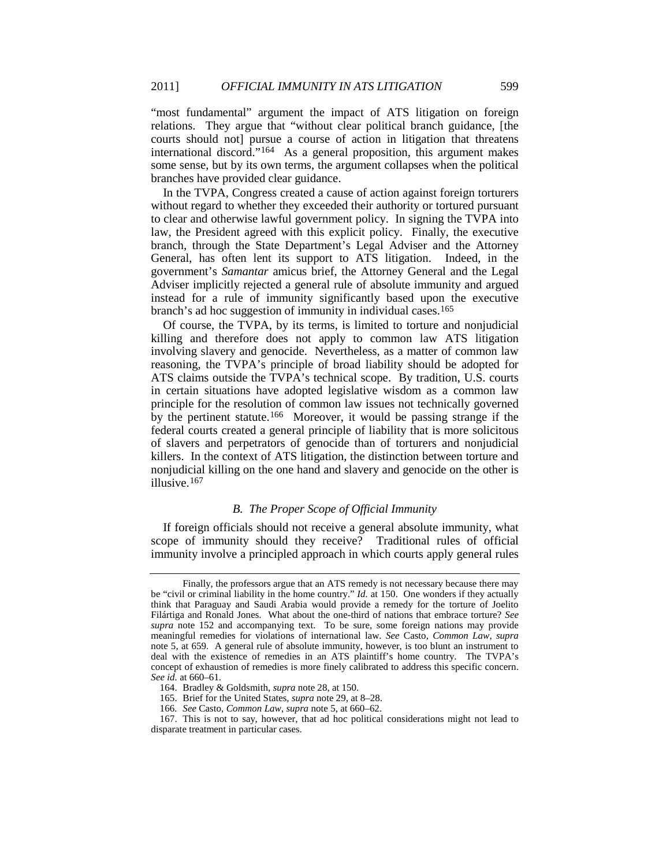"most fundamental" argument the impact of ATS litigation on foreign relations. They argue that "without clear political branch guidance, [the courts should not] pursue a course of action in litigation that threatens international discord."[164](#page-27-1) As a general proposition, this argument makes some sense, but by its own terms, the argument collapses when the political branches have provided clear guidance.

In the TVPA, Congress created a cause of action against foreign torturers without regard to whether they exceeded their authority or tortured pursuant to clear and otherwise lawful government policy. In signing the TVPA into law, the President agreed with this explicit policy. Finally, the executive branch, through the State Department's Legal Adviser and the Attorney General, has often lent its support to ATS litigation. Indeed, in the government's *Samantar* amicus brief, the Attorney General and the Legal Adviser implicitly rejected a general rule of absolute immunity and argued instead for a rule of immunity significantly based upon the executive branch's ad hoc suggestion of immunity in individual cases. [165](#page-27-2)

Of course, the TVPA, by its terms, is limited to torture and nonjudicial killing and therefore does not apply to common law ATS litigation involving slavery and genocide. Nevertheless, as a matter of common law reasoning, the TVPA's principle of broad liability should be adopted for ATS claims outside the TVPA's technical scope. By tradition, U.S. courts in certain situations have adopted legislative wisdom as a common law principle for the resolution of common law issues not technically governed by the pertinent statute.[166](#page-27-3) Moreover, it would be passing strange if the federal courts created a general principle of liability that is more solicitous of slavers and perpetrators of genocide than of torturers and nonjudicial killers. In the context of ATS litigation, the distinction between torture and nonjudicial killing on the one hand and slavery and genocide on the other is illusive.[167](#page-27-4)

# <span id="page-27-0"></span>*B. The Proper Scope of Official Immunity*

If foreign officials should not receive a general absolute immunity, what scope of immunity should they receive? Traditional rules of official immunity involve a principled approach in which courts apply general rules

Finally, the professors argue that an ATS remedy is not necessary because there may be "civil or criminal liability in the home country." *Id.* at 150. One wonders if they actually think that Paraguay and Saudi Arabia would provide a remedy for the torture of Joelito Filártiga and Ronald Jones. What about the one-third of nations that embrace torture? *See supra* note [152](#page-24-9) and accompanying text. To be sure, some foreign nations may provide meaningful remedies for violations of international law. *See* Casto, *Common Law*, *supra* note [5,](#page-1-6) at 659. A general rule of absolute immunity, however, is too blunt an instrument to deal with the existence of remedies in an ATS plaintiff's home country. The TVPA's concept of exhaustion of remedies is more finely calibrated to address this specific concern. *See id.* at 660–61.

<sup>164.</sup> Bradley & Goldsmith, *supra* note [28,](#page-4-7) at 150.

<sup>165.</sup> Brief for the United States, *supra* note [29,](#page-4-6) at 8–28.

<sup>166</sup>*. See* Casto, *Common Law*, *supra* note [5,](#page-1-6) at 660–62.

<span id="page-27-4"></span><span id="page-27-3"></span><span id="page-27-2"></span><span id="page-27-1"></span><sup>167.</sup> This is not to say, however, that ad hoc political considerations might not lead to disparate treatment in particular cases.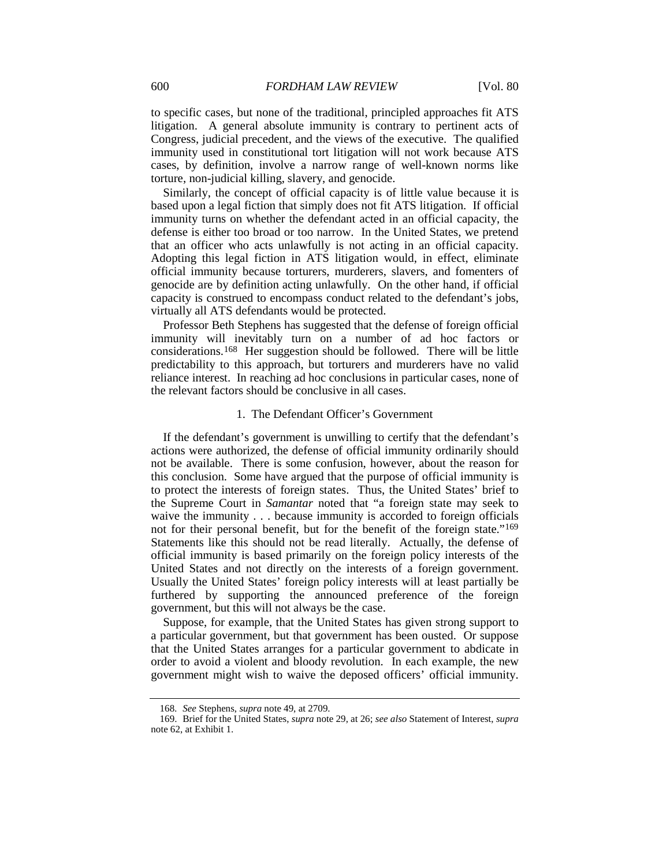to specific cases, but none of the traditional, principled approaches fit ATS litigation. A general absolute immunity is contrary to pertinent acts of Congress, judicial precedent, and the views of the executive. The qualified immunity used in constitutional tort litigation will not work because ATS cases, by definition, involve a narrow range of well-known norms like torture, non-judicial killing, slavery, and genocide.

Similarly, the concept of official capacity is of little value because it is based upon a legal fiction that simply does not fit ATS litigation. If official immunity turns on whether the defendant acted in an official capacity, the defense is either too broad or too narrow. In the United States, we pretend that an officer who acts unlawfully is not acting in an official capacity. Adopting this legal fiction in ATS litigation would, in effect, eliminate official immunity because torturers, murderers, slavers, and fomenters of genocide are by definition acting unlawfully. On the other hand, if official capacity is construed to encompass conduct related to the defendant's jobs, virtually all ATS defendants would be protected.

Professor Beth Stephens has suggested that the defense of foreign official immunity will inevitably turn on a number of ad hoc factors or considerations.[168](#page-28-1) Her suggestion should be followed. There will be little predictability to this approach, but torturers and murderers have no valid reliance interest. In reaching ad hoc conclusions in particular cases, none of the relevant factors should be conclusive in all cases.

# <span id="page-28-0"></span>1. The Defendant Officer's Government

If the defendant's government is unwilling to certify that the defendant's actions were authorized, the defense of official immunity ordinarily should not be available. There is some confusion, however, about the reason for this conclusion. Some have argued that the purpose of official immunity is to protect the interests of foreign states. Thus, the United States' brief to the Supreme Court in *Samantar* noted that "a foreign state may seek to waive the immunity . . . because immunity is accorded to foreign officials not for their personal benefit, but for the benefit of the foreign state."<sup>[169](#page-28-2)</sup> Statements like this should not be read literally. Actually, the defense of official immunity is based primarily on the foreign policy interests of the United States and not directly on the interests of a foreign government. Usually the United States' foreign policy interests will at least partially be furthered by supporting the announced preference of the foreign government, but this will not always be the case.

Suppose, for example, that the United States has given strong support to a particular government, but that government has been ousted. Or suppose that the United States arranges for a particular government to abdicate in order to avoid a violent and bloody revolution. In each example, the new government might wish to waive the deposed officers' official immunity.

<sup>168</sup>*. See* Stephens, *supra* not[e 49,](#page-8-11) at 2709.

<span id="page-28-2"></span><span id="page-28-1"></span><sup>169.</sup> Brief for the United States, *supra* note [29,](#page-4-6) at 26; *see also* Statement of Interest, *supra* not[e 62,](#page-9-3) at Exhibit 1.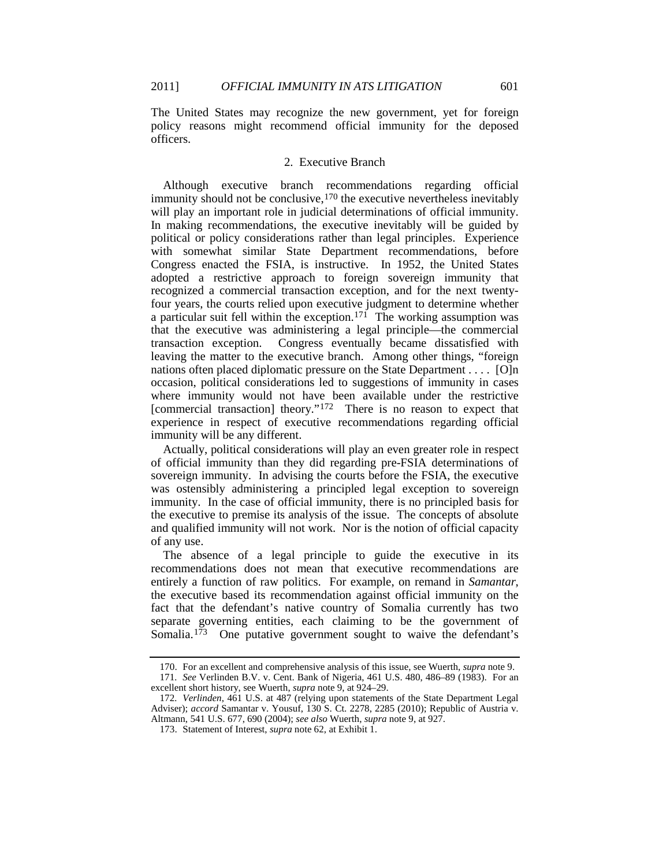The United States may recognize the new government, yet for foreign policy reasons might recommend official immunity for the deposed officers.

# 2. Executive Branch

Although executive branch recommendations regarding official immunity should not be conclusive, <sup>[170](#page-29-0)</sup> the executive nevertheless inevitably will play an important role in judicial determinations of official immunity. In making recommendations, the executive inevitably will be guided by political or policy considerations rather than legal principles. Experience with somewhat similar State Department recommendations, before Congress enacted the FSIA, is instructive. In 1952, the United States adopted a restrictive approach to foreign sovereign immunity that recognized a commercial transaction exception, and for the next twentyfour years, the courts relied upon executive judgment to determine whether a particular suit fell within the exception.<sup>[171](#page-29-1)</sup> The working assumption was that the executive was administering a legal principle—the commercial transaction exception. Congress eventually became dissatisfied with leaving the matter to the executive branch. Among other things, "foreign nations often placed diplomatic pressure on the State Department . . . . [O]n occasion, political considerations led to suggestions of immunity in cases where immunity would not have been available under the restrictive [commercial transaction] theory."<sup>[172](#page-29-2)</sup> There is no reason to expect that experience in respect of executive recommendations regarding official immunity will be any different.

Actually, political considerations will play an even greater role in respect of official immunity than they did regarding pre-FSIA determinations of sovereign immunity. In advising the courts before the FSIA, the executive was ostensibly administering a principled legal exception to sovereign immunity. In the case of official immunity, there is no principled basis for the executive to premise its analysis of the issue. The concepts of absolute and qualified immunity will not work. Nor is the notion of official capacity of any use.

The absence of a legal principle to guide the executive in its recommendations does not mean that executive recommendations are entirely a function of raw politics. For example, on remand in *Samantar*, the executive based its recommendation against official immunity on the fact that the defendant's native country of Somalia currently has two separate governing entities, each claiming to be the government of Somalia.<sup>[173](#page-29-3)</sup> One putative government sought to waive the defendant's

<sup>170.</sup> For an excellent and comprehensive analysis of this issue, see Wuerth, *supra* note [9.](#page-2-10)

<span id="page-29-1"></span><span id="page-29-0"></span><sup>171</sup>*. See* Verlinden B.V. v. Cent. Bank of Nigeria, 461 U.S. 480, 486–89 (1983). For an excellent short history, see Wuerth, *supra* not[e 9,](#page-2-10) at 924–29.

<span id="page-29-3"></span><span id="page-29-2"></span><sup>172</sup>*. Verlinden*, 461 U.S. at 487 (relying upon statements of the State Department Legal Adviser); *accord* Samantar v. Yousuf, 130 S. Ct. 2278, 2285 (2010); Republic of Austria v. Altmann, 541 U.S. 677, 690 (2004); *see also* Wuerth, *supra* not[e 9,](#page-2-10) at 927.

<sup>173.</sup> Statement of Interest, *supra* note [62,](#page-9-3) at Exhibit 1.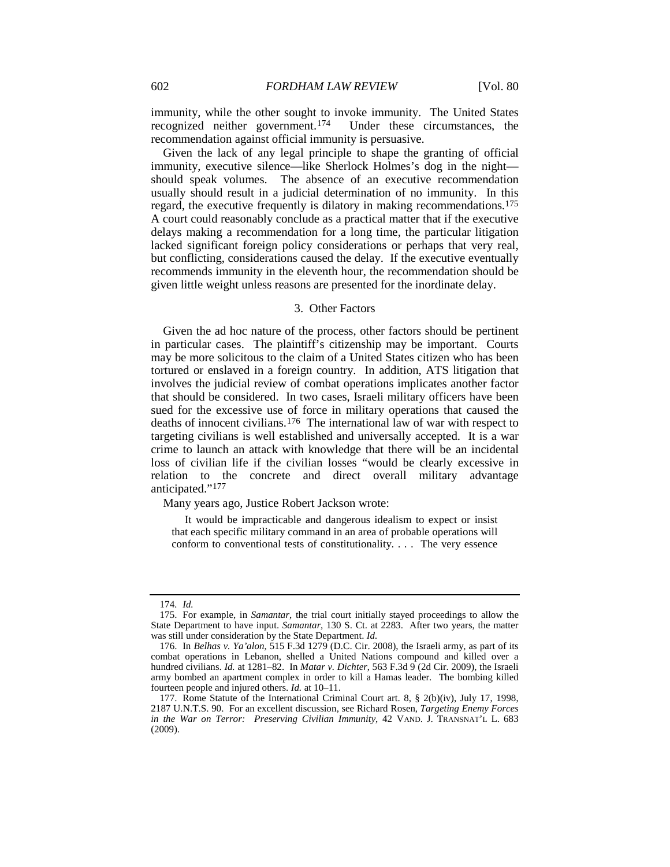immunity, while the other sought to invoke immunity. The United States recognized neither government.[174](#page-30-0) Under these circumstances, the recommendation against official immunity is persuasive.

Given the lack of any legal principle to shape the granting of official immunity, executive silence—like Sherlock Holmes's dog in the night should speak volumes. The absence of an executive recommendation usually should result in a judicial determination of no immunity. In this regard, the executive frequently is dilatory in making recommendations. [175](#page-30-1) A court could reasonably conclude as a practical matter that if the executive delays making a recommendation for a long time, the particular litigation lacked significant foreign policy considerations or perhaps that very real, but conflicting, considerations caused the delay. If the executive eventually recommends immunity in the eleventh hour, the recommendation should be given little weight unless reasons are presented for the inordinate delay.

#### 3. Other Factors

Given the ad hoc nature of the process, other factors should be pertinent in particular cases. The plaintiff's citizenship may be important. Courts may be more solicitous to the claim of a United States citizen who has been tortured or enslaved in a foreign country. In addition, ATS litigation that involves the judicial review of combat operations implicates another factor that should be considered. In two cases, Israeli military officers have been sued for the excessive use of force in military operations that caused the deaths of innocent civilians.[176](#page-30-2) The international law of war with respect to targeting civilians is well established and universally accepted. It is a war crime to launch an attack with knowledge that there will be an incidental loss of civilian life if the civilian losses "would be clearly excessive in relation to the concrete and direct overall military advantage anticipated.["177](#page-30-3)

Many years ago, Justice Robert Jackson wrote:

<span id="page-30-4"></span>It would be impracticable and dangerous idealism to expect or insist that each specific military command in an area of probable operations will conform to conventional tests of constitutionality. . . . The very essence

<sup>174</sup>*. Id.*

<span id="page-30-1"></span><span id="page-30-0"></span><sup>175.</sup> For example, in *Samantar*, the trial court initially stayed proceedings to allow the State Department to have input. *Samantar*, 130 S. Ct. at 2283. After two years, the matter was still under consideration by the State Department. *Id.*

<span id="page-30-2"></span><sup>176.</sup> In *Belhas v. Ya'alon*, 515 F.3d 1279 (D.C. Cir. 2008), the Israeli army, as part of its combat operations in Lebanon, shelled a United Nations compound and killed over a hundred civilians. *Id.* at 1281–82. In *Matar v. Dichter*, 563 F.3d 9 (2d Cir. 2009), the Israeli army bombed an apartment complex in order to kill a Hamas leader. The bombing killed fourteen people and injured others. *Id.* at 10–11.

<span id="page-30-3"></span><sup>177.</sup> Rome Statute of the International Criminal Court art. 8, § 2(b)(iv), July 17, 1998, 2187 U.N.T.S. 90. For an excellent discussion, see Richard Rosen, *Targeting Enemy Forces in the War on Terror: Preserving Civilian Immunity*, 42 VAND. J. TRANSNAT'L L. 683 (2009).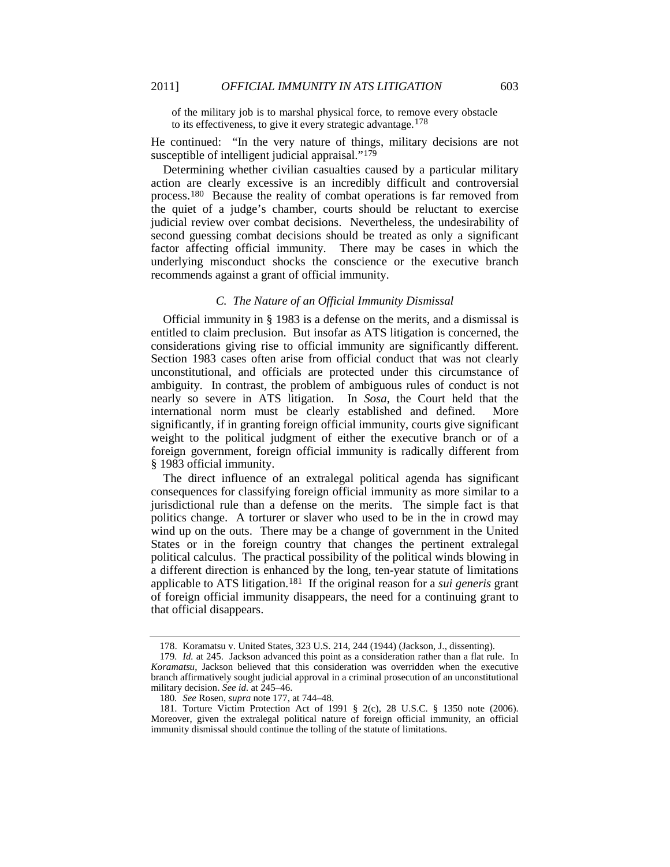of the military job is to marshal physical force, to remove every obstacle to its effectiveness, to give it every strategic advantage.<sup>[178](#page-31-1)</sup>

He continued: "In the very nature of things, military decisions are not susceptible of intelligent judicial appraisal."<sup>179</sup>

<span id="page-31-0"></span>Determining whether civilian casualties caused by a particular military action are clearly excessive is an incredibly difficult and controversial process.<sup>[180](#page-31-3)</sup> Because the reality of combat operations is far removed from the quiet of a judge's chamber, courts should be reluctant to exercise judicial review over combat decisions. Nevertheless, the undesirability of second guessing combat decisions should be treated as only a significant factor affecting official immunity. There may be cases in which the underlying misconduct shocks the conscience or the executive branch recommends against a grant of official immunity.

# *C. The Nature of an Official Immunity Dismissal*

Official immunity in § 1983 is a defense on the merits, and a dismissal is entitled to claim preclusion. But insofar as ATS litigation is concerned, the considerations giving rise to official immunity are significantly different. Section 1983 cases often arise from official conduct that was not clearly unconstitutional, and officials are protected under this circumstance of ambiguity. In contrast, the problem of ambiguous rules of conduct is not nearly so severe in ATS litigation. In *Sosa*, the Court held that the international norm must be clearly established and defined. More significantly, if in granting foreign official immunity, courts give significant weight to the political judgment of either the executive branch or of a foreign government, foreign official immunity is radically different from § 1983 official immunity.

The direct influence of an extralegal political agenda has significant consequences for classifying foreign official immunity as more similar to a jurisdictional rule than a defense on the merits. The simple fact is that politics change. A torturer or slaver who used to be in the in crowd may wind up on the outs. There may be a change of government in the United States or in the foreign country that changes the pertinent extralegal political calculus. The practical possibility of the political winds blowing in a different direction is enhanced by the long, ten-year statute of limitations applicable to ATS litigation.[181](#page-31-4) If the original reason for a *sui generis* grant of foreign official immunity disappears, the need for a continuing grant to that official disappears.

<sup>178.</sup> Koramatsu v. United States, 323 U.S. 214, 244 (1944) (Jackson, J., dissenting).

<span id="page-31-2"></span><span id="page-31-1"></span><sup>179</sup>*. Id.* at 245. Jackson advanced this point as a consideration rather than a flat rule. In *Koramatsu*, Jackson believed that this consideration was overridden when the executive branch affirmatively sought judicial approval in a criminal prosecution of an unconstitutional military decision. *See id.* at 245–46.

<sup>180</sup>*. See* Rosen, *supra* not[e 177,](#page-30-4) at 744–48.

<span id="page-31-4"></span><span id="page-31-3"></span><sup>181.</sup> Torture Victim Protection Act of 1991 § 2(c), 28 U.S.C. § 1350 note (2006). Moreover, given the extralegal political nature of foreign official immunity, an official immunity dismissal should continue the tolling of the statute of limitations.